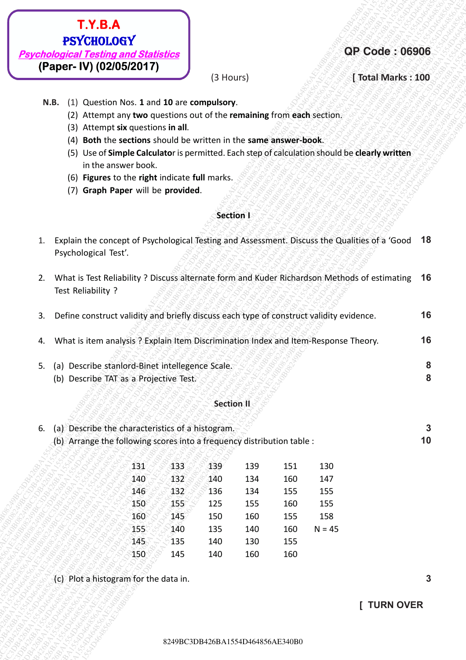

### **QP Code : 06906**

### **(3 Hours)** *industribute the set of Total Marks : 100*

- **N.B.** (1) Question Nos. **1** and **10** are **compulsory**.
	- (2) Attempt any **two** questions out of the **remaining** from **each** section.
	- (3) Attempt **six** questions **in all**.
	- (4) **Both** the **sections** should be written in the **same answer-book**.
	- (5) Use of **Simple Calculato**r is permitted. Each step of calculation should be **clearly written** in the answer book.
	- (6) **Figures** to the **right** indicate **full** marks.
	- (7) **Graph Paper** will be **provided**.

### **Section I**

|                    | What is Test Reliability ? Discuss alternate form and Kuder Richardson Methods of estimating 16 |  |
|--------------------|-------------------------------------------------------------------------------------------------|--|
| Test Reliability ? | EEEEEEEEEEEEEEEEEE                                                                              |  |

| (Paper- IV) (02/05/2017)<br>(3 Hours)<br>[ Total Marks: 100<br>(1) Question Nos. 1 and 10 are compulsory.<br>N.B.<br>(2) Attempt any two questions out of the remaining from each section.<br>(3) Attempt six questions in all.<br>(4) Both the sections should be written in the same answer-book.<br>Use of Simple Calculator is permitted. Each step of calculation should be clearly written<br>(5)<br>in the answer book.<br>(6) Figures to the right indicate full marks.<br>(7) Graph Paper will be provided.<br>Section I<br>Explain the concept of Psychological Testing and Assessment. Discuss the Qualities of a 'Good 18<br>1.<br>Psychological Test'.<br>What is Test Reliability ? Discuss alternate form and Kuder Richardson Methods of estimating<br>2.<br>Test Reliability ?<br>Define construct validity and briefly discuss each type of construct validity evidence.<br>3.<br>What is item analysis? Explain Item Discrimination Index and Item-Response Theory.<br>4.<br>Describe stanlord-Binet intellegence Scale.<br>5.<br>(a)<br>Describe TAT as a Projective Test.<br>(b)<br><b>Section II</b><br>Describe the characteristics of a histogram.<br>6.<br>(a)<br>(b) Arrange the following scores into a frequency distribution table :<br>433<br>139<br>151<br>131<br>139<br>130<br>140<br>$-132$<br>140<br>134<br>160<br>147<br>136<br>134<br>155<br>146<br>132<br>155<br>155<br>150<br>125<br>155<br>160<br>155<br>158<br>160<br>145<br>150<br>160<br>155<br>135<br>155<br>140<br>140<br>160<br>$N = 45$ |
|---------------------------------------------------------------------------------------------------------------------------------------------------------------------------------------------------------------------------------------------------------------------------------------------------------------------------------------------------------------------------------------------------------------------------------------------------------------------------------------------------------------------------------------------------------------------------------------------------------------------------------------------------------------------------------------------------------------------------------------------------------------------------------------------------------------------------------------------------------------------------------------------------------------------------------------------------------------------------------------------------------------------------------------------------------------------------------------------------------------------------------------------------------------------------------------------------------------------------------------------------------------------------------------------------------------------------------------------------------------------------------------------------------------------------------------------------------------------------------------------------------------------------------------|
|                                                                                                                                                                                                                                                                                                                                                                                                                                                                                                                                                                                                                                                                                                                                                                                                                                                                                                                                                                                                                                                                                                                                                                                                                                                                                                                                                                                                                                                                                                                                       |
|                                                                                                                                                                                                                                                                                                                                                                                                                                                                                                                                                                                                                                                                                                                                                                                                                                                                                                                                                                                                                                                                                                                                                                                                                                                                                                                                                                                                                                                                                                                                       |
|                                                                                                                                                                                                                                                                                                                                                                                                                                                                                                                                                                                                                                                                                                                                                                                                                                                                                                                                                                                                                                                                                                                                                                                                                                                                                                                                                                                                                                                                                                                                       |
|                                                                                                                                                                                                                                                                                                                                                                                                                                                                                                                                                                                                                                                                                                                                                                                                                                                                                                                                                                                                                                                                                                                                                                                                                                                                                                                                                                                                                                                                                                                                       |
|                                                                                                                                                                                                                                                                                                                                                                                                                                                                                                                                                                                                                                                                                                                                                                                                                                                                                                                                                                                                                                                                                                                                                                                                                                                                                                                                                                                                                                                                                                                                       |
|                                                                                                                                                                                                                                                                                                                                                                                                                                                                                                                                                                                                                                                                                                                                                                                                                                                                                                                                                                                                                                                                                                                                                                                                                                                                                                                                                                                                                                                                                                                                       |
|                                                                                                                                                                                                                                                                                                                                                                                                                                                                                                                                                                                                                                                                                                                                                                                                                                                                                                                                                                                                                                                                                                                                                                                                                                                                                                                                                                                                                                                                                                                                       |
|                                                                                                                                                                                                                                                                                                                                                                                                                                                                                                                                                                                                                                                                                                                                                                                                                                                                                                                                                                                                                                                                                                                                                                                                                                                                                                                                                                                                                                                                                                                                       |
|                                                                                                                                                                                                                                                                                                                                                                                                                                                                                                                                                                                                                                                                                                                                                                                                                                                                                                                                                                                                                                                                                                                                                                                                                                                                                                                                                                                                                                                                                                                                       |
|                                                                                                                                                                                                                                                                                                                                                                                                                                                                                                                                                                                                                                                                                                                                                                                                                                                                                                                                                                                                                                                                                                                                                                                                                                                                                                                                                                                                                                                                                                                                       |
|                                                                                                                                                                                                                                                                                                                                                                                                                                                                                                                                                                                                                                                                                                                                                                                                                                                                                                                                                                                                                                                                                                                                                                                                                                                                                                                                                                                                                                                                                                                                       |
|                                                                                                                                                                                                                                                                                                                                                                                                                                                                                                                                                                                                                                                                                                                                                                                                                                                                                                                                                                                                                                                                                                                                                                                                                                                                                                                                                                                                                                                                                                                                       |
|                                                                                                                                                                                                                                                                                                                                                                                                                                                                                                                                                                                                                                                                                                                                                                                                                                                                                                                                                                                                                                                                                                                                                                                                                                                                                                                                                                                                                                                                                                                                       |
|                                                                                                                                                                                                                                                                                                                                                                                                                                                                                                                                                                                                                                                                                                                                                                                                                                                                                                                                                                                                                                                                                                                                                                                                                                                                                                                                                                                                                                                                                                                                       |
|                                                                                                                                                                                                                                                                                                                                                                                                                                                                                                                                                                                                                                                                                                                                                                                                                                                                                                                                                                                                                                                                                                                                                                                                                                                                                                                                                                                                                                                                                                                                       |
|                                                                                                                                                                                                                                                                                                                                                                                                                                                                                                                                                                                                                                                                                                                                                                                                                                                                                                                                                                                                                                                                                                                                                                                                                                                                                                                                                                                                                                                                                                                                       |
|                                                                                                                                                                                                                                                                                                                                                                                                                                                                                                                                                                                                                                                                                                                                                                                                                                                                                                                                                                                                                                                                                                                                                                                                                                                                                                                                                                                                                                                                                                                                       |
| 145<br>135<br>140<br>130<br>155                                                                                                                                                                                                                                                                                                                                                                                                                                                                                                                                                                                                                                                                                                                                                                                                                                                                                                                                                                                                                                                                                                                                                                                                                                                                                                                                                                                                                                                                                                       |
| 160<br>150<br>145<br>140<br>160                                                                                                                                                                                                                                                                                                                                                                                                                                                                                                                                                                                                                                                                                                                                                                                                                                                                                                                                                                                                                                                                                                                                                                                                                                                                                                                                                                                                                                                                                                       |
| (c) Plot a histogram for the data in.                                                                                                                                                                                                                                                                                                                                                                                                                                                                                                                                                                                                                                                                                                                                                                                                                                                                                                                                                                                                                                                                                                                                                                                                                                                                                                                                                                                                                                                                                                 |
| [ TURN OVER                                                                                                                                                                                                                                                                                                                                                                                                                                                                                                                                                                                                                                                                                                                                                                                                                                                                                                                                                                                                                                                                                                                                                                                                                                                                                                                                                                                                                                                                                                                           |

### **Section II**

| 6. (a) Describe the characteristics of a histogram.                    |  |
|------------------------------------------------------------------------|--|
| (b) Arrange the following scores into a frequency distribution table : |  |

| 131 | 133 | 139 | 139 | 151 | 130      |
|-----|-----|-----|-----|-----|----------|
| 140 |     | 140 | 134 | 160 | 147      |
| 146 | 132 | 136 | 134 | 155 | 155      |
| 150 | 155 | 125 | 155 | 160 | 155      |
| 160 | 145 | 150 | 160 | 155 | 158      |
| 155 | 140 | 135 | 140 | 160 | $N = 45$ |
| 145 | 135 | 140 | 130 | 155 |          |
| 150 | 145 | 140 | 160 | 160 |          |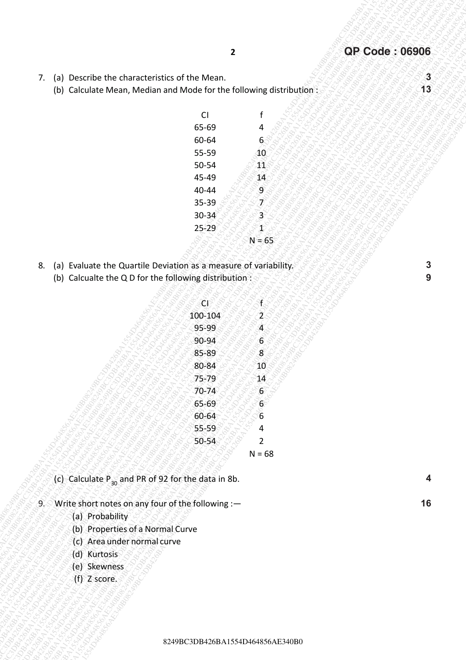- 7. (a) Describe the characteristics of the Mean.
	- (b) Calculate Mean, Median and Mode for the following distribution:

| CI              | f |
|-----------------|---|
| 65-69           | 4 |
| 60-64           | 6 |
| 55-59           | 1 |
| 50-54           |   |
| 45-49           |   |
| 40-44           |   |
| 35-39           |   |
| 30-34           |   |
| 25 <sub>5</sub> |   |
|                 |   |
|                 |   |

- 8. (a) Evaluate the Quartile Deviation as a measure of variability.
	- (b) Calcualte the Q D for the following distribution :

|                                                                                                                                  | $\mathbf{2}$ |                                  | <b>QP Code: 06906</b> |
|----------------------------------------------------------------------------------------------------------------------------------|--------------|----------------------------------|-----------------------|
| Describe the characteristics of the Mean.<br>7.<br>(a)                                                                           |              |                                  | $\mathbf{3}$          |
| (b) Calculate Mean, Median and Mode for the following distribution:                                                              |              |                                  | 13                    |
|                                                                                                                                  | CI           |                                  |                       |
|                                                                                                                                  | 65-69        | 4                                |                       |
|                                                                                                                                  | 60-64        | 6 <sup>6</sup>                   |                       |
|                                                                                                                                  | 55-59        | 40                               |                       |
|                                                                                                                                  | 50-54        | $\mathbf{R}$                     |                       |
|                                                                                                                                  | 45-49        | 14                               |                       |
|                                                                                                                                  | 40-44        | 9                                |                       |
|                                                                                                                                  | 35-39        | Ŗ                                |                       |
|                                                                                                                                  | $30 - 34$    | $\overline{3}$                   |                       |
|                                                                                                                                  | 25-29        | $\blacktriangleleft$             |                       |
|                                                                                                                                  |              | $N = 65$                         |                       |
| (a) Evaluate the Quartile Deviation as a measure of variability.<br>8.<br>(b) Calcualte the Q D for the following distribution : |              |                                  | 3<br>9                |
|                                                                                                                                  | ČŊ           | SÉ.                              |                       |
|                                                                                                                                  | 100-104      | $\widetilde{\mathbf{Z}}$         |                       |
|                                                                                                                                  | 95-99        | $\widetilde{\mathbf{A}}$         |                       |
|                                                                                                                                  | 90-94        | $\mathbf{6}$                     |                       |
|                                                                                                                                  | 85-89        | $\boldsymbol{8}$                 |                       |
|                                                                                                                                  | 80-84        | 10 <sub>1</sub>                  |                       |
|                                                                                                                                  | 75-79        | $\mathbf{14}$                    |                       |
|                                                                                                                                  | $70 - 74$    | $\boldsymbol{6}$                 |                       |
|                                                                                                                                  | 65-69        | 6 <sup>o</sup>                   |                       |
|                                                                                                                                  | 60-64        | $6\overline{6}$                  |                       |
|                                                                                                                                  | 55-59        | 4                                |                       |
|                                                                                                                                  | 50-54        | $\overline{2}$<br>$N = 68$       |                       |
|                                                                                                                                  |              |                                  |                       |
| (c) Calculate P <sub>30</sub> and PR of 92 for the data in 8b.                                                                   |              |                                  | 4                     |
| Write short notes on any four of the following :-<br><u>୍କୁ କ</u><br>(a) Probability<br>(b) Properties of a Normal Curve         |              |                                  | 16                    |
| (c) Area under normal curve<br>(d) Kurtosis                                                                                      |              |                                  |                       |
| (e) Skewness<br>(f) Z score.                                                                                                     |              |                                  |                       |
|                                                                                                                                  |              |                                  |                       |
|                                                                                                                                  |              |                                  |                       |
|                                                                                                                                  |              | 8249BC3DB426BA1554D464856AE340B0 |                       |

- (c) Calculate  $P_{30}$  and PR of 92 for the data in 8b.
- 9. Write short notes on any four of the following :-
	- (a) Probability
	- (b) Properties of a Normal Curve
	- (c) Area under normal curve
	- (d) Kurtosis
	- (e) Skewness
	- (f) Z score.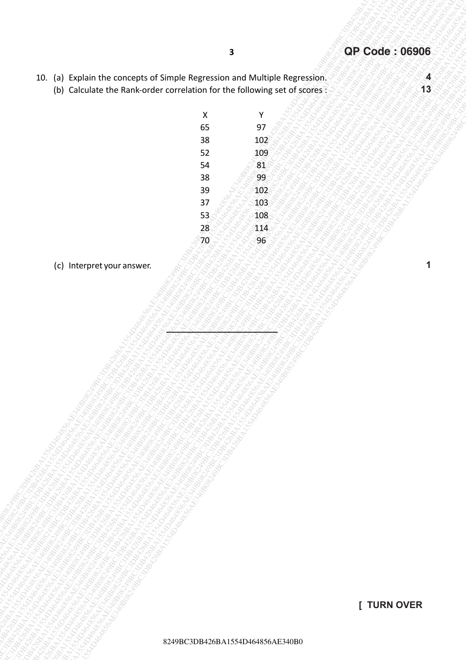- 10. (a) Explain the concepts of Simple Regression and Multiple Regression.
	- (b) Calculate the Rank-order correlation for the following set of scores :
- **[ TURN OVER**
- 8249BC3DB426BA1554D464856AE340B0
- (a) sophist the concepts of Shrone Magnesian and Mathole Regression,<br>
(b) calculate the funk-order correlation for the bibliothers and of Sophistics (a)<br>  $\frac{1}{32}$ <br>  $\frac{1}{32}$ <br>  $\frac{1}{32}$ <br>  $\frac{1}{32}$ <br>  $\frac{1}{32}$ <br>  $\frac{1}{3$ 8249BC3DB426BA1554D464856AE340B08249BC3DB426BA1554D464856AE340B08249BC3DB426BA1554D464856AE340B08249BC3DB426BA1554D464856AE340B08249BC3DB426BA1554D464856AE340B08249BC3DB426BA1554D464856AE340B0 TO, (2) region the concept of Simple Regression and Multiple Regression (2)<br>
(2) Gataxliere the Kink andre arrestories for the following orth of stores (2)<br>  $\frac{3}{24}$ <br>  $\frac{9}{24}$ <br>  $\frac{9}{24}$ <br>  $\frac{9}{24}$ <br>  $\frac{9}{24}$ <br>  $\frac{$ 30. (a) Coden the concert and Simple Represion on Maligie Represion on the Molecology concert and the Concert and Maligie Represion of Concert and Concert and Concert and Concert and Concert and Concert and Concert and Con 30 (a) both the concept of Simple Regression and Mathols Regression.<br>
(b) Gordina the concept of Simple Regression and Mathols Regression and Mathols Regression and Mathols Regression and Mathols Regression and Mathols Re  $\begin{array}{|l|l|} \hline \end{array}$   $\begin{array}{|l|l|} \hline \end{array}$ <br>  $\begin{array}{|l|l|} \hline \end{array}$ <br>  $\begin{array}{|l|l|} \hline \end{array}$ <br>  $\begin{array}{|l|l|} \hline \end{array}$ <br>  $\begin{array}{|l|l|} \hline \end{array}$ <br>  $\begin{array}{|l|l|} \hline \end{array}$ <br>  $\begin{array}{|l|l|} \hline \end{array}$ <br>  $\begin{array}{|l|l|} \hline \end{array}$ <br>  $\begin{array}{|l|l|} \hline$  $\begin{bmatrix}\n\text{20. } \text{54} & \text{54} & \text{54} & \text{54} & \text{54} & \text{54} & \text{54} & \text{54} & \text{54} & \text{54} & \text{54} & \text{54} & \text{54} & \text{54} & \text{54} & \text{54} & \text{54} & \text{54} & \text{54} & \text{54} & \text{54} & \text{54} & \text{54} & \text{54} & \text{54} & \text{54} & \text{54} & \text{54} & \text{54} & \text{$ TD, (5), Papies The concept, of Sunge Regression, and Musingac Regression,  $\frac{1}{3}$ <br>
1544 Calculated University activities in a second activities in a second activity and a second activity and a second activity and a sec TD, (5), Papies The concept, of Sunge Regression, and Musingac Regression,  $\frac{1}{3}$ <br>
1544 Calculated University activities in a second activities in a second activity and a second activity and a second activity and a sec TD, (5), Papies The concept, of Sunge Regression, and Musingac Regression,  $\frac{1}{3}$ <br>
1544 Calculated University activities in a second activities in a second activity and a second activity and a second activity and a sec TD, (5), Papies The concept, of Sunge Regression, and Musingac Regression,  $\frac{1}{3}$ <br>
1544 Calculated University activities in a second activities in a second activity and a second activity and a second activity and a sec 10 (5) Propain the concepts of Single Regression and Mutrade Regression (and Mutrade Regression)<br>
1930 Schulard and Municipality of Station and Mutrade Regression (and Mutrade Regression)<br>
1940 Management and Municipality 8249BC3DB426BA1554D464856AE340B08249BC3DB426BA1554D464856AE340B08249BC3DB426BA1554D464856AE340B08249BC3DB426BA1554D464856AE340B08249BC3DB426BA1554D464856AE340B08249BC3DB426BA1554D464856AE340B0 8249BC3DB426BA1554D464856AE340B08249BC3DB426BA1554D464856AE340B08249BC3DB426BA1554D464856AE340B08249BC3DB426BA1554D464856AE340B08249BC3DB426BA1554D464856AE340B08249BC3DB426BA1554D464856AE340B0 3<br>
824 BC3DB430 THE CONCEPT OF DIFFINITE REFERENCES AND TRUCKLESS REGULAR DIFFINITE REFERENCES<br>
824 BC3D<br>
824 BC3D<br>
824 BC3D<br>
824 BC3D<br>
824 BC3D<br>
824 BC3D<br>
824 BC3D<br>
824 BC3D<br>
824 BC3D<br>
824 BC3D<br>
824 BC3D<br>
824 BC3D<br>
824 BC 8249BC3DB426BA1554D464856AE340B08249BC3DB426BA1554D464856AE340B08249BC3DB426BA1554D464856AE340B08249BC3DB426BA1554D464856AE340B08249BC3DB426BA1554D464856AE340B08249BC3DB426BA1554D464856AE340B0 10. (a)  $\rightarrow$  pain the concept of simple keyrosion and Multiple keyrosion.<br>
(b) catalogue when where corrected for the full concept of article in the state of the full concept of article in the state of the full concept of 19. (a) Cyclinic the currence of a Simple Regression, and Muhiple Regression, and Muhiple Regression, (a) Catalog at the Sunct order corrences for the Collades of the Sunct of The Collades of the Collades Corrences for th 19. [a] Deplain the concepts of Simple Regression. and Maksigar Regression.<br>
19) Carolinet the Kank order correction for the following act of signs:<br>
24 A.B.<br>
24 A.B.<br>
24 A.B.<br>
24 A.B.<br>
24 A.B.<br>
24 A.B.<br>
24 A.B.<br>
24 A.B.<br> 10. (a) Caplian the Concepts of Simple Regression, and Multiple Regression, and Multiple Regression, and Multiple Regression, and Multiple Regression, and Multiple Regression, and Multiple Regression, and Multiple Regressi X Y 65 97 38 102 52 109 54 81 38 8899 39 102  $37 \, \text{°} \, \text{°} \, \text{°} \, 103$ 53 108  $28 < 114$  $70 - 888000$

**LEAS SERVER SERVER SE** 

(c) Interpret your answer.

**4 13**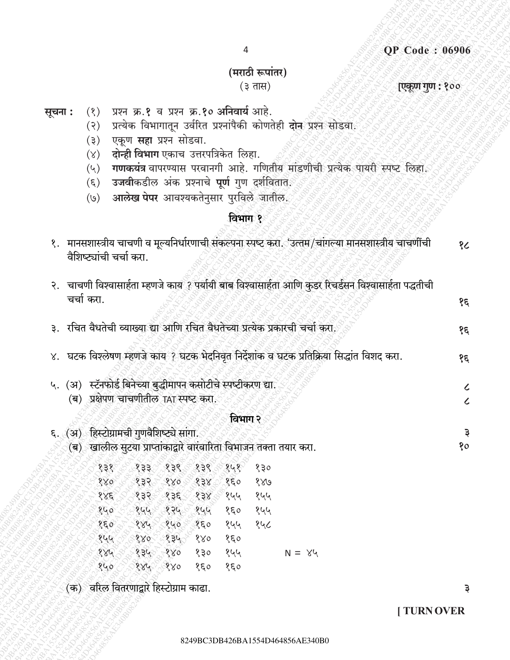### **QP Code: 06906**

# (मराठी रूपांतर)

 $\overline{4}$ 

### $(3 \pi H)$

### एकूण गुण : १००

- प्रश्न क्र.१ व प्रश्न क्र.१० अनिवार्य आहे. सूचना :  $(8)$ 
	- प्रत्येक विभागातून उर्वरित प्रश्नांपैकी कोणतेही **दोन**्प्रश्न सोडवा.  $(5)$
	- एकूण **सहा** प्रश्न सोडवा.  $(5)$
	- दोन्ही विभाग एकाच उत्तरपत्रिकेत लिहा.  $(\mathcal{X})$
	- गणकयंत्र वापरण्यास परवानगी आहे. गणितीय मांडणीची प्रत्येक पायरी स्पष्ट लिहा.  $(\vee)$
	- उजवीकडील अंक प्रश्नाचे पूर्ण गुण दुर्शविताते.  $(\xi)$
	- <mark>आलेख पेपर</mark> आवश्यकतेनुसार पुरविले जातील  $(\mathcal{O})$

## विभाग १

|  | वैशिष्ट्यांची चर्चा करा.                                                       |                         |     |         |     |               | १.   मानसशास्त्रीय चाचणी व मूल्यनिर्धारणाची संकल्पना स्पष्ट करा. 'उत्तम/चांगल्या मानसशास्त्रीय चाचणींची | १८         |
|--|--------------------------------------------------------------------------------|-------------------------|-----|---------|-----|---------------|---------------------------------------------------------------------------------------------------------|------------|
|  | चर्चा करा.                                                                     |                         |     |         |     |               | २. चाचणी विश्वासार्हता म्हणजे काय ? पर्यायी बाब विश्वासार्हता आणि कुडर रिचर्डसन विश्वासार्हता पद्धतीची  | १६         |
|  |                                                                                |                         |     |         |     |               |                                                                                                         |            |
|  | ३.  रचित वैधतेची व्याख्या द्या आणि रचित वैधतेच्या प्रत्येक प्रकारची चर्चा करा. |                         |     |         |     |               |                                                                                                         | १६         |
|  |                                                                                |                         |     |         |     |               | ४. घटक विश्लेषण म्हणजे काय ? घटक भेदनिवृत निर्देशांक व घटक प्रतिक्रिया सिद्धांत विशद करा.               | १६         |
|  | ५. (अ) स्टॅनफोर्ड बिनेच्या बुद्धीमापन कसोटीचे स्पष्टीकरण द्या.                 |                         |     |         |     |               |                                                                                                         | $\epsilon$ |
|  | (ब) प्रक्षेपण चाचणीतील TAT स्पष्ट करा.                                         |                         |     |         |     |               |                                                                                                         | $\epsilon$ |
|  |                                                                                |                         |     | विभाग २ |     |               |                                                                                                         |            |
|  | ६. (अ) हिस्टोग्रामची गुणवैशिष्ट्ये सांगा.                                      |                         |     |         |     |               |                                                                                                         | ३          |
|  | (ब) खालील सुटया प्राप्तांकाद्वारे वारंवारिता विभाजन तक्ता तयार करा.            |                         |     |         |     |               |                                                                                                         | 80         |
|  | १३१                                                                            | १३३ १३९ १३९             |     | 848     | १३० |               |                                                                                                         |            |
|  |                                                                                | $880$ $832$ $880$ $838$ |     | 850     | 880 |               |                                                                                                         |            |
|  |                                                                                | १४६ १३२ १३६ १३४ १५५     |     |         | १५५ |               |                                                                                                         |            |
|  |                                                                                | १५० १९५५ १२५ १५५        |     | १६०     | १५५ |               |                                                                                                         |            |
|  |                                                                                | १६० १४५ १५० १६०         |     | १५५     | १५८ |               |                                                                                                         |            |
|  |                                                                                | १५५ १४० १३५ १४०         |     | १६०     |     |               |                                                                                                         |            |
|  |                                                                                | १४५ ४ १३५ १४०           | १३० | १५५     |     | $N = \lambda$ |                                                                                                         |            |
|  | 840                                                                            | 884 880                 | 850 | 850     |     |               |                                                                                                         |            |
|  | (क) वरिल वितरणाद्वारे हिस्टोग्राम काढा.                                        |                         |     |         |     |               |                                                                                                         | Э          |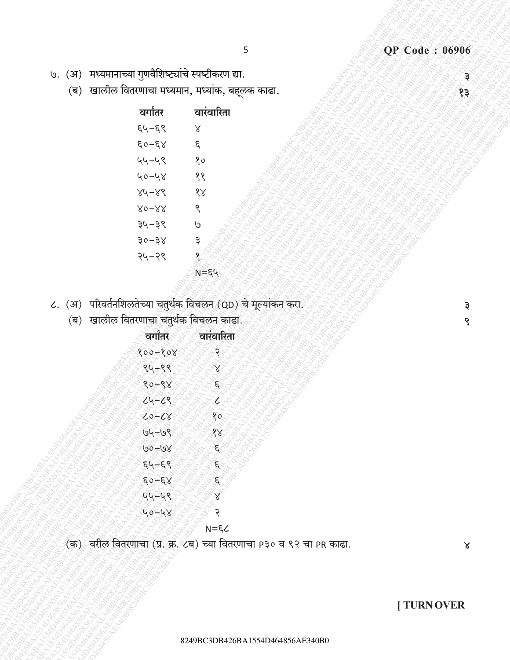१३

३

९

- 5
- ७. (अ) मध्यमानाच्या गुणवैशिष्ट्यांचे स्पष्टीकरण द्या.
	- (ब) खालील वितरणाचा मध्यमान, मध्यांक, बहूलक काढा.

| वर्गांतर  | वारवारिता |
|-----------|-----------|
| ६५–६९     | Χ         |
| ६०–६४     | ٤         |
| ५५–५९     | १०        |
| ५०–५४     | ११        |
| $84 - 88$ | १४        |
| 80–88     | ९         |
| ३५–३९     | ٥)        |
| ३०–३४     | Ҙ         |
| २५–२९     |           |
|           |           |

- ८. (अ) परिवर्तनशिलतेच्या चतुर्थक विचलन (QD) चे मूल्यांकन करा.
	- (ब) खालील वितरणाचा चतुर्थक विचलन काढा.

| वर्गांतर                                        |    |
|-------------------------------------------------|----|
| 800-808                                         |    |
| Ĵ<br>98<br>९५                                   |    |
| 88<br>९०                                        |    |
| ८९<br>ι                                         |    |
| $\hat{\mathbf{o}}$<br>Ċ<br>8                    | 80 |
| 68<br>90                                        | १  |
| $\overline{\omega}$<br>$\overline{\mathsf{go}}$ | ६  |
| 55<br>६५                                        | Ę  |
| $\xi$<br>έ                                      | ٤  |
| ५९<br>Q                                         |    |
|                                                 | २  |
|                                                 | ६८ |
|                                                 |    |

(क) वरील वितरणाचा (प्र. क्र. ८ब) च्या वितरणाचा P३० व ९२ चा PR काढा.

 $\pmb{\times}$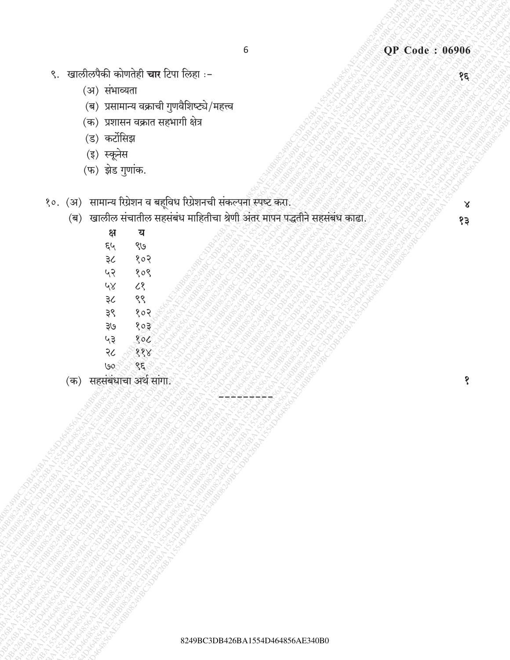- ९. खालीलपैकी कोणतेही चार टिपा लिहा :-
	- (अ) संभाव्यता
	- (ब) प्रसामान्य वक्राची गुणवैशिष्ट्ये/महत्त्व
	- (क) प्रशासन वक्रात सहभागी क्षेत्र
	- (ड) कर्टोसिझ
	- (इ) स्कूनेस
	- (फ) झेड गुणांक.
- १०. (अ) सामान्य रिग्रेशन व बहूविध रिग्रेशनची संकल्पना स्पष्ट करा.
	- (ब) खालील संचातील सहसंबंध माहितीचा श्रेणी अंतर मापन पद्धतीने सहसंबंध काढा.

 $\pmb{\mathsf{x}}$  $83$ 

१

 $\overline{\mathcal{E}}$ 

| क्ष | य   |  |
|-----|-----|--|
| ६५  | ९७  |  |
| ३८  | १०२ |  |
| ५२  | १०९ |  |
| ५४  | ८१  |  |
| ३८  | ९९  |  |
| ३९  | १०२ |  |
| ३७  | १०३ |  |
| ५३  | १०८ |  |
| २८  | ११  |  |
| ७৹  | ٤   |  |
|     |     |  |

(क) सहसंबंधाचा अर्थ सांगा.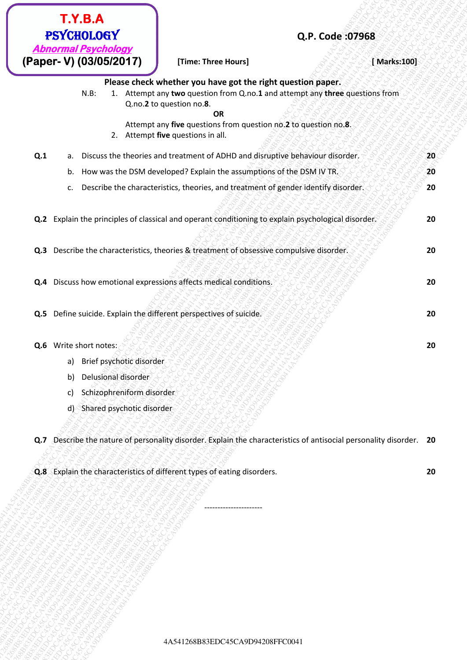| T.Y.B.A                                                                 |                                                                                                                                                                                      |              |  |  |  |
|-------------------------------------------------------------------------|--------------------------------------------------------------------------------------------------------------------------------------------------------------------------------------|--------------|--|--|--|
| <b>PSYCHOLOGY</b>                                                       | Q.P. Code: 07968                                                                                                                                                                     |              |  |  |  |
| <b>Abnormal Psychology</b><br>(Paper- V) (03/05/2017)                   | [Time: Three Hours]                                                                                                                                                                  | [ Marks:100] |  |  |  |
| $N.B$ :                                                                 | Please check whether you have got the right question paper.<br>1. Attempt any two question from Q.no.1 and attempt any three questions from<br>Q.no.2 to question no.8.<br><b>OR</b> |              |  |  |  |
|                                                                         | Attempt any five questions from question no.2 to question no.8.<br>2. Attempt five questions in all.                                                                                 |              |  |  |  |
| Q.1<br>a.                                                               | Discuss the theories and treatment of ADHD and disruptive behaviour disorder.                                                                                                        | 20           |  |  |  |
| b.                                                                      | How was the DSM developed? Explain the assumptions of the DSM IV TR.                                                                                                                 | 20           |  |  |  |
| c.                                                                      | Describe the characteristics, theories, and treatment of gender identify disorder.                                                                                                   | 20           |  |  |  |
|                                                                         | Q.2 Explain the principles of classical and operant conditioning to explain psychological disorder.                                                                                  | 20           |  |  |  |
|                                                                         | Q.3 Describe the characteristics, theories & treatment of obsessive compulsive disorder.                                                                                             | 20           |  |  |  |
| Q.4 Discuss how emotional expressions affects medical conditions.<br>20 |                                                                                                                                                                                      |              |  |  |  |
| Q.5 Define suicide. Explain the different perspectives of suicide.      |                                                                                                                                                                                      |              |  |  |  |
| Q.6 Write short notes:                                                  |                                                                                                                                                                                      | 20           |  |  |  |
| a) Brief psychotic disorder                                             |                                                                                                                                                                                      |              |  |  |  |
| Delusional disorder<br>b)                                               |                                                                                                                                                                                      |              |  |  |  |
| Schizophreniform disorder<br>C)                                         |                                                                                                                                                                                      |              |  |  |  |
| d) Shared psychotic disorder                                            |                                                                                                                                                                                      |              |  |  |  |
|                                                                         | Q.7 Describe the nature of personality disorder. Explain the characteristics of antisocial personality disorder. 20                                                                  |              |  |  |  |
|                                                                         | Q.8 Explain the characteristics of different types of eating disorders.                                                                                                              | 20           |  |  |  |
|                                                                         |                                                                                                                                                                                      |              |  |  |  |
|                                                                         |                                                                                                                                                                                      |              |  |  |  |
|                                                                         |                                                                                                                                                                                      |              |  |  |  |
|                                                                         |                                                                                                                                                                                      |              |  |  |  |
|                                                                         |                                                                                                                                                                                      |              |  |  |  |
|                                                                         |                                                                                                                                                                                      |              |  |  |  |
|                                                                         |                                                                                                                                                                                      |              |  |  |  |
|                                                                         | 4A541268B83EDC45CA9D94208FFC0041                                                                                                                                                     |              |  |  |  |
|                                                                         |                                                                                                                                                                                      |              |  |  |  |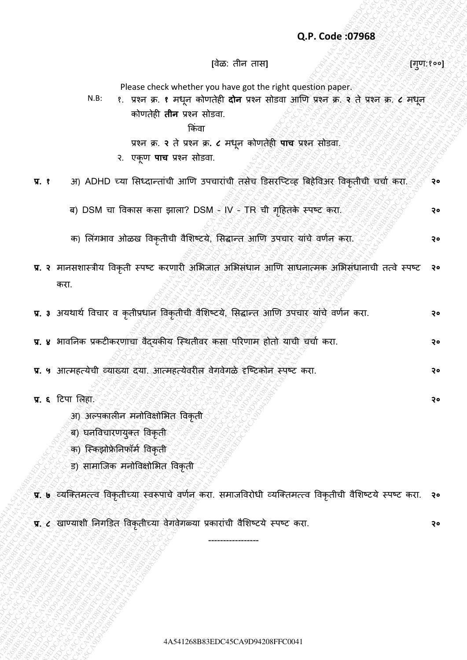### **Q.P. Code :07968**

**[**वȯळ: तीन तास**] [**गण: ु १००**]**

Please check whether you have got the right question paper.

N.B: १. प्रश्न क्र. **१** मधून कोणतȯही **दोन** प्रश्न सोडवा आणण प्रश्न क्र. **२** तȯ प्रश्न क्र. **८** मधून कोणतȯही **तीन** प्रश्न सोडवा.

ककिंवा

प्रश्न क्र. **२** तȯ प्रश्न क्र**. ८** मधून कोणतȯही **पाच** प्रश्न सोडवा.

२. एकूण **पाच** प्रश्न सोडवा.

**प्र. १** अ) ADHD च्या सिध्दान्तांची आणि उपचारांची तसेच डिसरप्टिव्ह बिहेविअर विकृतीची चर्चा करा. २०

- ब) DSM चा विकास कसा झाला? DSM IV TR ची गहितके स्पष्ट करा. २००४ मधी र**० व**
- क) लिंगभाव ओळख विकृतीची वैशिष्टये, सिद्धान्त आणि उपचार यांचे वर्णन करा. <u>२०२१ वर्ष</u> २०
- (a)  $\mu$  1999 (a)  $\mu$  1999 (a)  $\mu$  1999 (a)  $\mu$  1999 (a)  $\mu$  1999 (a)  $\mu$  1999 (a)  $\mu$  1999 (a)  $\mu$  1999 (a)  $\mu$  1999 (a)  $\mu$  1999 (a)  $\mu$  1999 (a)  $\mu$  1999 (a)  $\mu$  1999 (a)  $\mu$  1999 (a)  $\mu$  1999 (a)  $\mu$  19 Q.P. Code 319568<br>  $\frac{1}{2}$ <br>  $\frac{1}{2}$ <br>  $\frac{1}{2}$ <br>  $\frac{1}{2}$ <br>  $\frac{1}{2}$ <br>  $\frac{1}{2}$ <br>  $\frac{1}{2}$ <br>  $\frac{1}{2}$ <br>  $\frac{1}{2}$ <br>  $\frac{1}{2}$ <br>  $\frac{1}{2}$ <br>  $\frac{1}{2}$ <br>  $\frac{1}{2}$ <br>  $\frac{1}{2}$ <br>  $\frac{1}{2}$ <br>  $\frac{1}{2}$ <br>  $\frac{1}{2}$ <br>  $\frac{1}{2}$ <br>  $\frac{1$ Q.P. Code 379568<br>
Please class to actual control model of the field quastion asset<br>  $h \ge 2$  for example and the matrices of the field quastion asset<br>  $h \ge 2$  for example and the matrices of the field of the state of the s Q.P. Code 197968<br>  $[432, 184 + 184]$ <br>
Piese check whether you have act the right caset in paper.<br>  $\sqrt{16}$  as  $\sqrt{16}$  and  $\sqrt{16}$  and  $\sqrt{16}$  and  $\sqrt{16}$  and  $\sqrt{16}$  and  $\sqrt{16}$ <br>  $\sqrt{16}$  and  $\sqrt{16}$  and  $\sqrt{16}$  an Q.P. Code 407968<br>
Final control of the state and the system (and the system of the system of the system of the system of the system of the system of the system of the system of the system of the system of the system of th Q.P. Code: 079688<br>
Hosse check whether you have got the right question paper.<br>
Hus from since the right afford and rest offset and rest offset and a company<br>
Hus from since  $\frac{1}{2}$  (see and for a since of all second com Q.P.Code:07968<br>  $Q.P. Code: 97968$ <br>  $x + \cos \pi + t$ <br>  $y + \cos \pi + t$ <br>  $y + \cos \pi + t$ <br>  $y + \cos \pi + t$ <br>  $y + \cos \pi + t$ <br>  $y + \cos \pi + t$ <br>  $y + \cos \pi + t$ <br>  $y + \cos \pi + t$ <br>  $y + \cos \pi + t$ <br>  $y + \cos \pi + t$ <br>  $y + \cos \pi + t$ <br>  $y + \cos \pi + t$ <br>  $y + \cos \pi + t$ <br>  $y + \cos \pi + t$ <br>  $y + \cos \pi + t$ <br>  $y + \cos \pi + t$ Q.P. Code: 07968<br>  $Q.P.$  Code: 07968<br>
H.M.  $t$ , there is the first own distributed position paper.<br>
H.M.  $t$ , there is the first own distributed between the state of the first of the first original term is equivalent to th 4CFC004139988<br>  $Q,P$ C436 CA98 CA94 CA44126 CA94 CA94 CA94 CA94<br>
HERE C. Vienes, the full through control the full contained paper of<br>  $R=R$  CA96 CA441 A54126 CA941 A54126 CA941<br>
T. 1 36 CA910 with the rest end of the space 4CFC004139988<br>  $Q,P$ C436 CA98 CA94 CA44126 CA94 CA94 CA94 CA94<br>
HERE C. Vienes, the full through control the full contained paper of<br>  $R=R$  CA96 CA441 A54126 CA941 A54126 CA941<br>
T. 1 36 CA910 with the rest end of the space 4CFC004139988<br>  $Q,P$ C436 CA98 CA94 CA44126 CA94 CA94 CA94 CA94<br>
HERE C. Vienes, the full through control the full contained paper of<br>  $R=R$  CA96 CA441 A54126 CA941 A54126 CA941<br>
T. 1 36 CA910 with the rest end of the space **42.6. Code 37368**<br>  $\theta$ 2.6. Code 37368<br>  $\theta$ 3.8. Code 37368<br>  $\theta$ 3.8. Code 37368<br>  $\theta$ 3.8. Code 37448<br>  $\theta$ 3.8. Code 37448<br>  $\theta$ 3.8. Code 37448<br>  $\theta$ 3.8. Code 37448<br>  $\theta$ 3.8. Code 3844<br>  $\theta$ 3.8. Code 3844<br>  $\theta$ 3.8. Code Q.P. Code:379568<br>
Has: Hence these better with three points in the grand of the state of the state of the state of the state of the state of the state of the state of the state of the state of the state of the state of th Q.P. Code 079568<br>  $\frac{1}{2}$  Piesse clust when effect which due as the result of since which as a character of the result of the result of the result of the result of the result of the result of the result of the result of Q.P. Code a09668<br>  $\frac{1}{2}$  Please check whether you have not the rest datas also also see.<br>  $\frac{1}{2}$  Please check whether you have not the rest datas also see.<br>  $\frac{1}{2}$  Please and the rest datas also see.<br>  $\frac{1}{2}$  P 428. The Code 379688<br>
Has the cost<br>
Has the state website of the spot the rest since of the state of the state of the state of the state<br>
Has the state at the state of the state of the state<br>
state at the state of the sta Q.P.Code (37968<br>
Has the context of the context of the context of the context of the context of the context of the context of the context of the context of the context of the context of the context of the context of the c **42A Code 379588**<br>  $\frac{1}{2}$ <br>  $\frac{1}{2}$ <br>  $\frac{1}{2}$ <br>  $\frac{1}{2}$ <br>  $\frac{1}{2}$ <br>  $\frac{1}{2}$ <br>  $\frac{1}{2}$ <br>  $\frac{1}{2}$ <br>  $\frac{1}{2}$ <br>  $\frac{1}{2}$ <br>  $\frac{1}{2}$ <br>  $\frac{1}{2}$ <br>  $\frac{1}{2}$ <br>  $\frac{1}{2}$ <br>  $\frac{1}{2}$ <br>  $\frac{1}{2}$ <br>  $\frac{1}{2}$ <br>  $\frac{1}{2}$ <br>  $\frac{$ 4A541268B83EDC45CA9D94208FFC00414A541268B83EDC45CA9D94208FFC00414A541268B83EDC45CA9D94208FFC00414A541268B83EDC45CA9D94208FFC00414A541268B83EDC45CA9D94208FFC00414A541268B83EDC45CA9D94208FFC0041 Q.P. Code:37968<br>  $\frac{1}{12}$ <br>  $\frac{1}{12}$ <br>  $\frac{1}{12}$ <br>  $\frac{1}{12}$ <br>  $\frac{1}{12}$ <br>  $\frac{1}{12}$ <br>  $\frac{1}{12}$ <br>  $\frac{1}{12}$ <br>  $\frac{1}{12}$ <br>  $\frac{1}{12}$ <br>  $\frac{1}{12}$ <br>  $\frac{1}{12}$ <br>  $\frac{1}{12}$ <br>  $\frac{1}{12}$ <br>  $\frac{1}{12}$ <br>  $\frac{1}{12}$ <br>  $\frac{1}{12}$ <br> **प्र. २** मानसिास्रीय ववकृती स्पष्ि करणारी असभजात असभसिंधान आणण साधनात्मक असभसिंधानाची तत्वȯ स्पष्ि करा. **२०**
	- **प्र. 3** अयथार्थ विचार व कृतीप्रधान विकृतीची वैशिष्टये, सिद्धान्त आणि उपचार यांचे वर्णन करा. **२०**
	- **प्र. ४** भावननक प्रकिीकरणाचा वȰद्यकीय प्स्थतीवर कसा पररणाम होतो याची चचाा करा. **२०**
	- **प्र. ५** आत्महत्यȯची व्याख्या दया. आत्महत्यȯवरील वȯगवȯगळȯ दृप्ष्िकोन स्पष्ि करा. **२०**
	- **प्र. ६** हिपा सलहा.
		- अ) अल्पकालीन मनोववक्षोसभत ववकृती
		- ब) घनविचारणयुक्त विकृती
		- क) स्किझोफ्रेनिफॉर्म विकृती
		- ड) सामाजिक मनोविक्षोभित विकृती
	- **प्र. ७** व्यप्क्तमत्त्व ववकृतीच्या स्वरूपाचȯ वणान करा. समाजववरोधी व्यप्क्तमत्त्व ववकृतीची वȰसिष्ियȯ स्पष्ि करा. **२०**

-----------------

**प्र. ८** खाण्याशी निगडित विकृतीच्या वेगवेगळ्या प्रकारांची वैशिष्टये स्पष्ट करा.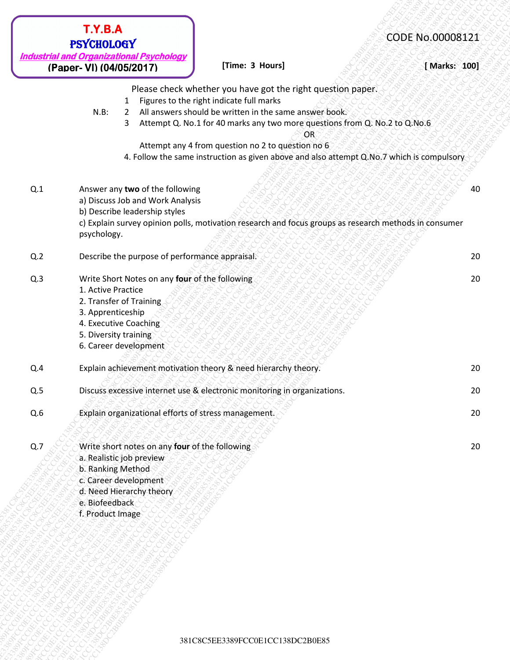|                         | <b>T.Y.B.A</b><br><b>PSYCHOLOGY</b>                              | <b>Industrial and Organizational Psychology</b>                                                                                 |                                                                                                                                                                                                                                                                                                                                                                                                         | CODE No.00008121 |
|-------------------------|------------------------------------------------------------------|---------------------------------------------------------------------------------------------------------------------------------|---------------------------------------------------------------------------------------------------------------------------------------------------------------------------------------------------------------------------------------------------------------------------------------------------------------------------------------------------------------------------------------------------------|------------------|
|                         | (Paper- VI) (04/05/2017)                                         |                                                                                                                                 | [Time: 3 Hours]                                                                                                                                                                                                                                                                                                                                                                                         | [ Marks: 100]    |
|                         | $N.B$ :                                                          | 1<br>$2^{\circ}$<br>3                                                                                                           | Please check whether you have got the right question paper.<br>Figures to the right indicate full marks<br>All answers should be written in the same answer book.<br>Attempt Q. No.1 for 40 marks any two more questions from Q. No.2 to Q.No.6<br>OR<br>Attempt any 4 from question no 2 to question no 6<br>4. Follow the same instruction as given above and also attempt Q.No.7 which is compulsory |                  |
| Q.1                     |                                                                  | Answer any two of the following<br>a) Discuss Job and Work Analysis<br>b) Describe leadership styles                            | c) Explain survey opinion polls, motivation research and focus groups as research methods in consumer                                                                                                                                                                                                                                                                                                   | 40               |
| Q.2                     | psychology.                                                      | Describe the purpose of performance appraisal.                                                                                  |                                                                                                                                                                                                                                                                                                                                                                                                         | 20               |
| Q.3                     | 1. Active Practice<br>3. Apprenticeship<br>5. Diversity training | Write Short Notes on any four of the following<br>2. Transfer of Training<br>4. Executive Coaching<br>6. Career development     |                                                                                                                                                                                                                                                                                                                                                                                                         | 20               |
| Q.4                     |                                                                  |                                                                                                                                 | Explain achievement motivation theory & need hierarchy theory.                                                                                                                                                                                                                                                                                                                                          | 20               |
| $\mathsf{Q}.\mathsf{5}$ |                                                                  |                                                                                                                                 | Discuss excessive internet use & electronic monitoring in organizations.                                                                                                                                                                                                                                                                                                                                | 20               |
| Q.6                     |                                                                  |                                                                                                                                 | Explain organizational efforts of stress management.                                                                                                                                                                                                                                                                                                                                                    | 20               |
| Q.7                     | b. Ranking Method<br>e. Biofeedback<br>f. Product Image          | Write short notes on any four of the following<br>a. Realistic job preview<br>c. Career development<br>d. Need Hierarchy theory |                                                                                                                                                                                                                                                                                                                                                                                                         | 20               |
|                         |                                                                  |                                                                                                                                 |                                                                                                                                                                                                                                                                                                                                                                                                         |                  |
|                         |                                                                  |                                                                                                                                 | 381C8C5EE3389FCC0E1CC138DC2B0E85                                                                                                                                                                                                                                                                                                                                                                        |                  |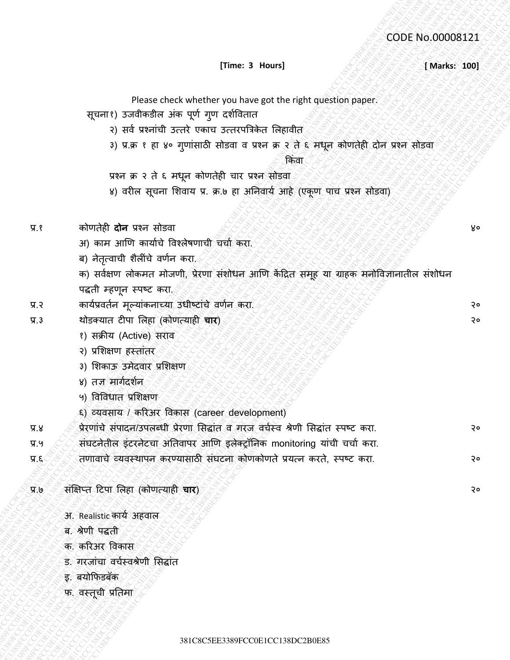# **[Time: 3 Hours] Example: 2 Marks: 100]**

| [Time: 3 Hours]<br>[ Marks: 100]<br>Please check whether you have got the right question paper.<br>सूचना१) उजवीकडील अंक पूर्ण गुण दर्शवितात<br>२) सर्व प्रश्नांची उत्तरे एकाच उत्तरपत्रिकेत लिहावीत<br>3) प्र.क़ १ हा ४० गुणांसाठी सोडवा व प्रश्न क्र २ ते ६ मधून कोणतेही दोन प्रश्न सोडवा<br>किवा<br>प्रश्न क्र २ ते ६ मधून कोणतेही चार प्रश्न सोडवा<br>४) वरील सूचना शिवाय प्र. क्र.७ हा अनिवार्य आहे (एकूण पाच प्रश्न सोडवा)<br>कोणतेही <b>दोन</b> प्रश्न सोडवा<br>अ) काम आणि कार्याचे विश्लेषणाची चर्चा करा.<br>ब) नेतृत्वाची शैलींचे वर्णन करा <sub>.</sub><br>क) सर्वक्षण लोकमत मोजणी, प्रेरणा संशोधन आणि केंद्रित समूह या ग्राहक मनोविज्ञानातील संशोधन<br>पद्धती म्हणून स्पष्ट करा.<br>कार्यप्रवर्तन मूल्यांकनाच्या उधीष्टांचे वर्णन करा.<br>थोडक्यात टीपा लिहा (कोणत्याही चार)<br>१) सक्रीय (Active) सराव<br>२) प्रशिक्षण हस्तांतर<br>3) शिकाऊ उमेदवार प्रशिक्षण<br>४) तज्ञ मार्गदर्शन<br>५) विविधात प्रशिक्षण<br>६) व्यवसाय / करिअर विकास (career development)<br>प्रेरणांचे संपादन/उपलब्धी प्रेरणा सिद्धांत व गरज वर्चस्व श्रेणी सिद्धांत स्पष्ट करा.<br>संघटनेतील इंटरनेटचा अतिवापर आणि इलेक्ट्रॉनिक monitoring यांची चर्चा करा.<br>तणावाचे व्यवस्थापन करण्यासाठी संघटना कोणकोणते प्रयत्न करते, स्पष्ट करा.<br>संक्षिप्त टिपा लिहा (कोणत्याही चार)<br>्य.७<br>अ. Realistic कार्य अहवाल<br>ब. श्रेणी पद्धती<br>क. करिअर विकास<br>ड. गरजांचा वर्चस्वश्रेणी सिद्धांत<br>इ. बयोफिडबॅक<br>फ. वस्तूची प्रतिमा<br>381C8C5EE3389FCC0E1CC138DC2B0E85 |         | CODE No.00008121 |
|--------------------------------------------------------------------------------------------------------------------------------------------------------------------------------------------------------------------------------------------------------------------------------------------------------------------------------------------------------------------------------------------------------------------------------------------------------------------------------------------------------------------------------------------------------------------------------------------------------------------------------------------------------------------------------------------------------------------------------------------------------------------------------------------------------------------------------------------------------------------------------------------------------------------------------------------------------------------------------------------------------------------------------------------------------------------------------------------------------------------------------------------------------------------------------------------------------------------------------------------------------------------------------------------------------------------------------------------------------------------------------------------------------------------------------------------------------|---------|------------------|
| ४०<br>२०<br>२०<br>२०<br>२०<br>२०                                                                                                                                                                                                                                                                                                                                                                                                                                                                                                                                                                                                                                                                                                                                                                                                                                                                                                                                                                                                                                                                                                                                                                                                                                                                                                                                                                                                                       |         |                  |
|                                                                                                                                                                                                                                                                                                                                                                                                                                                                                                                                                                                                                                                                                                                                                                                                                                                                                                                                                                                                                                                                                                                                                                                                                                                                                                                                                                                                                                                        |         |                  |
|                                                                                                                                                                                                                                                                                                                                                                                                                                                                                                                                                                                                                                                                                                                                                                                                                                                                                                                                                                                                                                                                                                                                                                                                                                                                                                                                                                                                                                                        |         |                  |
|                                                                                                                                                                                                                                                                                                                                                                                                                                                                                                                                                                                                                                                                                                                                                                                                                                                                                                                                                                                                                                                                                                                                                                                                                                                                                                                                                                                                                                                        |         |                  |
|                                                                                                                                                                                                                                                                                                                                                                                                                                                                                                                                                                                                                                                                                                                                                                                                                                                                                                                                                                                                                                                                                                                                                                                                                                                                                                                                                                                                                                                        |         |                  |
|                                                                                                                                                                                                                                                                                                                                                                                                                                                                                                                                                                                                                                                                                                                                                                                                                                                                                                                                                                                                                                                                                                                                                                                                                                                                                                                                                                                                                                                        |         |                  |
|                                                                                                                                                                                                                                                                                                                                                                                                                                                                                                                                                                                                                                                                                                                                                                                                                                                                                                                                                                                                                                                                                                                                                                                                                                                                                                                                                                                                                                                        |         |                  |
|                                                                                                                                                                                                                                                                                                                                                                                                                                                                                                                                                                                                                                                                                                                                                                                                                                                                                                                                                                                                                                                                                                                                                                                                                                                                                                                                                                                                                                                        |         |                  |
|                                                                                                                                                                                                                                                                                                                                                                                                                                                                                                                                                                                                                                                                                                                                                                                                                                                                                                                                                                                                                                                                                                                                                                                                                                                                                                                                                                                                                                                        |         |                  |
|                                                                                                                                                                                                                                                                                                                                                                                                                                                                                                                                                                                                                                                                                                                                                                                                                                                                                                                                                                                                                                                                                                                                                                                                                                                                                                                                                                                                                                                        | प्र.१   |                  |
|                                                                                                                                                                                                                                                                                                                                                                                                                                                                                                                                                                                                                                                                                                                                                                                                                                                                                                                                                                                                                                                                                                                                                                                                                                                                                                                                                                                                                                                        |         |                  |
|                                                                                                                                                                                                                                                                                                                                                                                                                                                                                                                                                                                                                                                                                                                                                                                                                                                                                                                                                                                                                                                                                                                                                                                                                                                                                                                                                                                                                                                        |         |                  |
|                                                                                                                                                                                                                                                                                                                                                                                                                                                                                                                                                                                                                                                                                                                                                                                                                                                                                                                                                                                                                                                                                                                                                                                                                                                                                                                                                                                                                                                        |         |                  |
|                                                                                                                                                                                                                                                                                                                                                                                                                                                                                                                                                                                                                                                                                                                                                                                                                                                                                                                                                                                                                                                                                                                                                                                                                                                                                                                                                                                                                                                        |         |                  |
|                                                                                                                                                                                                                                                                                                                                                                                                                                                                                                                                                                                                                                                                                                                                                                                                                                                                                                                                                                                                                                                                                                                                                                                                                                                                                                                                                                                                                                                        | प्र.२   |                  |
|                                                                                                                                                                                                                                                                                                                                                                                                                                                                                                                                                                                                                                                                                                                                                                                                                                                                                                                                                                                                                                                                                                                                                                                                                                                                                                                                                                                                                                                        | $\Pi.3$ |                  |
|                                                                                                                                                                                                                                                                                                                                                                                                                                                                                                                                                                                                                                                                                                                                                                                                                                                                                                                                                                                                                                                                                                                                                                                                                                                                                                                                                                                                                                                        |         |                  |
|                                                                                                                                                                                                                                                                                                                                                                                                                                                                                                                                                                                                                                                                                                                                                                                                                                                                                                                                                                                                                                                                                                                                                                                                                                                                                                                                                                                                                                                        |         |                  |
|                                                                                                                                                                                                                                                                                                                                                                                                                                                                                                                                                                                                                                                                                                                                                                                                                                                                                                                                                                                                                                                                                                                                                                                                                                                                                                                                                                                                                                                        |         |                  |
|                                                                                                                                                                                                                                                                                                                                                                                                                                                                                                                                                                                                                                                                                                                                                                                                                                                                                                                                                                                                                                                                                                                                                                                                                                                                                                                                                                                                                                                        |         |                  |
|                                                                                                                                                                                                                                                                                                                                                                                                                                                                                                                                                                                                                                                                                                                                                                                                                                                                                                                                                                                                                                                                                                                                                                                                                                                                                                                                                                                                                                                        |         |                  |
|                                                                                                                                                                                                                                                                                                                                                                                                                                                                                                                                                                                                                                                                                                                                                                                                                                                                                                                                                                                                                                                                                                                                                                                                                                                                                                                                                                                                                                                        |         |                  |
|                                                                                                                                                                                                                                                                                                                                                                                                                                                                                                                                                                                                                                                                                                                                                                                                                                                                                                                                                                                                                                                                                                                                                                                                                                                                                                                                                                                                                                                        | प्र.४   |                  |
|                                                                                                                                                                                                                                                                                                                                                                                                                                                                                                                                                                                                                                                                                                                                                                                                                                                                                                                                                                                                                                                                                                                                                                                                                                                                                                                                                                                                                                                        | प्र.५   |                  |
|                                                                                                                                                                                                                                                                                                                                                                                                                                                                                                                                                                                                                                                                                                                                                                                                                                                                                                                                                                                                                                                                                                                                                                                                                                                                                                                                                                                                                                                        | प्र.६   |                  |
|                                                                                                                                                                                                                                                                                                                                                                                                                                                                                                                                                                                                                                                                                                                                                                                                                                                                                                                                                                                                                                                                                                                                                                                                                                                                                                                                                                                                                                                        |         |                  |
|                                                                                                                                                                                                                                                                                                                                                                                                                                                                                                                                                                                                                                                                                                                                                                                                                                                                                                                                                                                                                                                                                                                                                                                                                                                                                                                                                                                                                                                        |         |                  |
|                                                                                                                                                                                                                                                                                                                                                                                                                                                                                                                                                                                                                                                                                                                                                                                                                                                                                                                                                                                                                                                                                                                                                                                                                                                                                                                                                                                                                                                        |         |                  |
|                                                                                                                                                                                                                                                                                                                                                                                                                                                                                                                                                                                                                                                                                                                                                                                                                                                                                                                                                                                                                                                                                                                                                                                                                                                                                                                                                                                                                                                        |         |                  |
|                                                                                                                                                                                                                                                                                                                                                                                                                                                                                                                                                                                                                                                                                                                                                                                                                                                                                                                                                                                                                                                                                                                                                                                                                                                                                                                                                                                                                                                        |         |                  |
|                                                                                                                                                                                                                                                                                                                                                                                                                                                                                                                                                                                                                                                                                                                                                                                                                                                                                                                                                                                                                                                                                                                                                                                                                                                                                                                                                                                                                                                        |         |                  |
|                                                                                                                                                                                                                                                                                                                                                                                                                                                                                                                                                                                                                                                                                                                                                                                                                                                                                                                                                                                                                                                                                                                                                                                                                                                                                                                                                                                                                                                        |         |                  |
|                                                                                                                                                                                                                                                                                                                                                                                                                                                                                                                                                                                                                                                                                                                                                                                                                                                                                                                                                                                                                                                                                                                                                                                                                                                                                                                                                                                                                                                        |         |                  |
|                                                                                                                                                                                                                                                                                                                                                                                                                                                                                                                                                                                                                                                                                                                                                                                                                                                                                                                                                                                                                                                                                                                                                                                                                                                                                                                                                                                                                                                        |         |                  |
|                                                                                                                                                                                                                                                                                                                                                                                                                                                                                                                                                                                                                                                                                                                                                                                                                                                                                                                                                                                                                                                                                                                                                                                                                                                                                                                                                                                                                                                        |         |                  |
|                                                                                                                                                                                                                                                                                                                                                                                                                                                                                                                                                                                                                                                                                                                                                                                                                                                                                                                                                                                                                                                                                                                                                                                                                                                                                                                                                                                                                                                        |         |                  |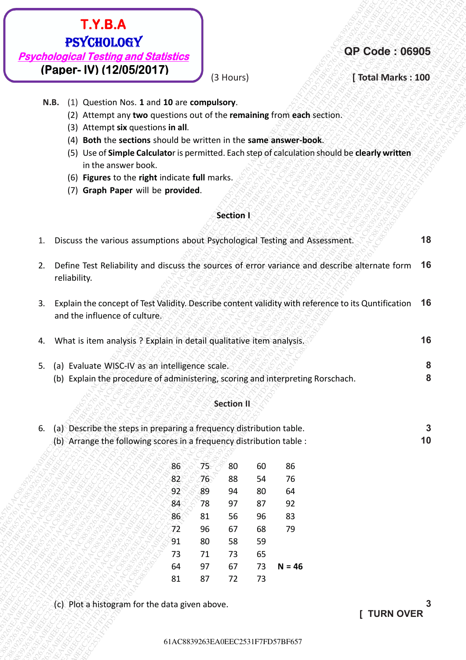- **N.B.** (1) Question Nos. **1** and **10** are **compulsory**.
	- (2) Attempt any **two** questions out of the **remaining** from **each** section.
	- (3) Attempt **six** questions **in all**.
	- (4) **Both** the **sections** should be written in the **same answer-book**.
	- (5) Use of **Simple Calculato**r is permitted. Each step of calculation should be **clearly written** in the answer book.
	- (6) **Figures** to the **right** indicate **full** marks.
	- (7) **Graph Paper** will be **provided**.

### **Section I**

| <b>T.Y.B.A</b><br><b>PSYCHOLOGY</b><br><b>QP Code: 06905</b><br><b>Psychological Testing and Statistics</b><br>(Paper- IV) (12/05/2017)<br>(3 Hours)<br>[ Total Marks : 100<br>(1) Question Nos. 1 and 10 are compulsory.<br>N.B.<br>(2) Attempt any two questions out of the remaining from each section.<br>(3) Attempt six questions in all.<br>(4) Both the sections should be written in the same answer-book.<br>(5) Use of Simple Calculator is permitted. Each step of calculation should be clearly written<br>in the answer book.<br>(6) Figures to the right indicate full marks.<br>(7) Graph Paper will be provided.<br>Section I<br>Discuss the various assumptions about Psychological Testing and Assessment.<br>1.<br>Define Test Reliability and discuss the sources of error variance and describe alternate form 16<br>2.<br>reliability.<br>Explain the concept of Test Validity. Describe content validity with reference to its Quntification 16<br>3.<br>and the influence of culture.<br>What is item analysis ? Explain in detail qualitative item analysis.<br>4.<br>(a) Evaluate WISC-IV as an intelligence scale.<br>5.<br>(b) Explain the procedure of administering, scoring and interpreting Rorschach.<br><b>Section II</b><br>(a) Describe the steps in preparing a frequency distribution table.<br>6.<br>(b) Arrange the following scores in a frequency distribution table :<br>75<br>86<br>86<br>80<br>60<br>82<br>76<br>76<br>54<br>88<br>89<br>92 <sup>°</sup><br>94<br>80<br>64<br>78<br>92<br>84<br>97<br>87<br>86<br>56<br>83<br>81<br>96<br>72<br>96<br>67<br>68<br>79<br>91<br>80<br>58<br>59<br>65<br>73<br>73<br>71 |                            |              |
|--------------------------------------------------------------------------------------------------------------------------------------------------------------------------------------------------------------------------------------------------------------------------------------------------------------------------------------------------------------------------------------------------------------------------------------------------------------------------------------------------------------------------------------------------------------------------------------------------------------------------------------------------------------------------------------------------------------------------------------------------------------------------------------------------------------------------------------------------------------------------------------------------------------------------------------------------------------------------------------------------------------------------------------------------------------------------------------------------------------------------------------------------------------------------------------------------------------------------------------------------------------------------------------------------------------------------------------------------------------------------------------------------------------------------------------------------------------------------------------------------------------------------------------------------------------------------------------------------------------------------------------------------------------------|----------------------------|--------------|
|                                                                                                                                                                                                                                                                                                                                                                                                                                                                                                                                                                                                                                                                                                                                                                                                                                                                                                                                                                                                                                                                                                                                                                                                                                                                                                                                                                                                                                                                                                                                                                                                                                                                    |                            |              |
|                                                                                                                                                                                                                                                                                                                                                                                                                                                                                                                                                                                                                                                                                                                                                                                                                                                                                                                                                                                                                                                                                                                                                                                                                                                                                                                                                                                                                                                                                                                                                                                                                                                                    |                            |              |
|                                                                                                                                                                                                                                                                                                                                                                                                                                                                                                                                                                                                                                                                                                                                                                                                                                                                                                                                                                                                                                                                                                                                                                                                                                                                                                                                                                                                                                                                                                                                                                                                                                                                    |                            |              |
|                                                                                                                                                                                                                                                                                                                                                                                                                                                                                                                                                                                                                                                                                                                                                                                                                                                                                                                                                                                                                                                                                                                                                                                                                                                                                                                                                                                                                                                                                                                                                                                                                                                                    |                            |              |
|                                                                                                                                                                                                                                                                                                                                                                                                                                                                                                                                                                                                                                                                                                                                                                                                                                                                                                                                                                                                                                                                                                                                                                                                                                                                                                                                                                                                                                                                                                                                                                                                                                                                    |                            |              |
|                                                                                                                                                                                                                                                                                                                                                                                                                                                                                                                                                                                                                                                                                                                                                                                                                                                                                                                                                                                                                                                                                                                                                                                                                                                                                                                                                                                                                                                                                                                                                                                                                                                                    |                            |              |
|                                                                                                                                                                                                                                                                                                                                                                                                                                                                                                                                                                                                                                                                                                                                                                                                                                                                                                                                                                                                                                                                                                                                                                                                                                                                                                                                                                                                                                                                                                                                                                                                                                                                    |                            |              |
|                                                                                                                                                                                                                                                                                                                                                                                                                                                                                                                                                                                                                                                                                                                                                                                                                                                                                                                                                                                                                                                                                                                                                                                                                                                                                                                                                                                                                                                                                                                                                                                                                                                                    |                            |              |
|                                                                                                                                                                                                                                                                                                                                                                                                                                                                                                                                                                                                                                                                                                                                                                                                                                                                                                                                                                                                                                                                                                                                                                                                                                                                                                                                                                                                                                                                                                                                                                                                                                                                    |                            |              |
|                                                                                                                                                                                                                                                                                                                                                                                                                                                                                                                                                                                                                                                                                                                                                                                                                                                                                                                                                                                                                                                                                                                                                                                                                                                                                                                                                                                                                                                                                                                                                                                                                                                                    |                            |              |
|                                                                                                                                                                                                                                                                                                                                                                                                                                                                                                                                                                                                                                                                                                                                                                                                                                                                                                                                                                                                                                                                                                                                                                                                                                                                                                                                                                                                                                                                                                                                                                                                                                                                    |                            |              |
|                                                                                                                                                                                                                                                                                                                                                                                                                                                                                                                                                                                                                                                                                                                                                                                                                                                                                                                                                                                                                                                                                                                                                                                                                                                                                                                                                                                                                                                                                                                                                                                                                                                                    |                            | 18           |
|                                                                                                                                                                                                                                                                                                                                                                                                                                                                                                                                                                                                                                                                                                                                                                                                                                                                                                                                                                                                                                                                                                                                                                                                                                                                                                                                                                                                                                                                                                                                                                                                                                                                    |                            |              |
|                                                                                                                                                                                                                                                                                                                                                                                                                                                                                                                                                                                                                                                                                                                                                                                                                                                                                                                                                                                                                                                                                                                                                                                                                                                                                                                                                                                                                                                                                                                                                                                                                                                                    |                            |              |
|                                                                                                                                                                                                                                                                                                                                                                                                                                                                                                                                                                                                                                                                                                                                                                                                                                                                                                                                                                                                                                                                                                                                                                                                                                                                                                                                                                                                                                                                                                                                                                                                                                                                    |                            | 16           |
|                                                                                                                                                                                                                                                                                                                                                                                                                                                                                                                                                                                                                                                                                                                                                                                                                                                                                                                                                                                                                                                                                                                                                                                                                                                                                                                                                                                                                                                                                                                                                                                                                                                                    |                            | 8            |
|                                                                                                                                                                                                                                                                                                                                                                                                                                                                                                                                                                                                                                                                                                                                                                                                                                                                                                                                                                                                                                                                                                                                                                                                                                                                                                                                                                                                                                                                                                                                                                                                                                                                    |                            | 8            |
|                                                                                                                                                                                                                                                                                                                                                                                                                                                                                                                                                                                                                                                                                                                                                                                                                                                                                                                                                                                                                                                                                                                                                                                                                                                                                                                                                                                                                                                                                                                                                                                                                                                                    |                            |              |
|                                                                                                                                                                                                                                                                                                                                                                                                                                                                                                                                                                                                                                                                                                                                                                                                                                                                                                                                                                                                                                                                                                                                                                                                                                                                                                                                                                                                                                                                                                                                                                                                                                                                    |                            | $\mathbf{3}$ |
|                                                                                                                                                                                                                                                                                                                                                                                                                                                                                                                                                                                                                                                                                                                                                                                                                                                                                                                                                                                                                                                                                                                                                                                                                                                                                                                                                                                                                                                                                                                                                                                                                                                                    |                            | 10           |
|                                                                                                                                                                                                                                                                                                                                                                                                                                                                                                                                                                                                                                                                                                                                                                                                                                                                                                                                                                                                                                                                                                                                                                                                                                                                                                                                                                                                                                                                                                                                                                                                                                                                    |                            |              |
|                                                                                                                                                                                                                                                                                                                                                                                                                                                                                                                                                                                                                                                                                                                                                                                                                                                                                                                                                                                                                                                                                                                                                                                                                                                                                                                                                                                                                                                                                                                                                                                                                                                                    |                            |              |
|                                                                                                                                                                                                                                                                                                                                                                                                                                                                                                                                                                                                                                                                                                                                                                                                                                                                                                                                                                                                                                                                                                                                                                                                                                                                                                                                                                                                                                                                                                                                                                                                                                                                    |                            |              |
|                                                                                                                                                                                                                                                                                                                                                                                                                                                                                                                                                                                                                                                                                                                                                                                                                                                                                                                                                                                                                                                                                                                                                                                                                                                                                                                                                                                                                                                                                                                                                                                                                                                                    |                            |              |
|                                                                                                                                                                                                                                                                                                                                                                                                                                                                                                                                                                                                                                                                                                                                                                                                                                                                                                                                                                                                                                                                                                                                                                                                                                                                                                                                                                                                                                                                                                                                                                                                                                                                    |                            |              |
|                                                                                                                                                                                                                                                                                                                                                                                                                                                                                                                                                                                                                                                                                                                                                                                                                                                                                                                                                                                                                                                                                                                                                                                                                                                                                                                                                                                                                                                                                                                                                                                                                                                                    |                            |              |
|                                                                                                                                                                                                                                                                                                                                                                                                                                                                                                                                                                                                                                                                                                                                                                                                                                                                                                                                                                                                                                                                                                                                                                                                                                                                                                                                                                                                                                                                                                                                                                                                                                                                    |                            |              |
|                                                                                                                                                                                                                                                                                                                                                                                                                                                                                                                                                                                                                                                                                                                                                                                                                                                                                                                                                                                                                                                                                                                                                                                                                                                                                                                                                                                                                                                                                                                                                                                                                                                                    | 97<br>67<br>73<br>$N = 46$ |              |
| 87<br>81<br>72<br>73                                                                                                                                                                                                                                                                                                                                                                                                                                                                                                                                                                                                                                                                                                                                                                                                                                                                                                                                                                                                                                                                                                                                                                                                                                                                                                                                                                                                                                                                                                                                                                                                                                               | 64                         |              |
|                                                                                                                                                                                                                                                                                                                                                                                                                                                                                                                                                                                                                                                                                                                                                                                                                                                                                                                                                                                                                                                                                                                                                                                                                                                                                                                                                                                                                                                                                                                                                                                                                                                                    |                            |              |
| (c) Plot a histogram for the data given above.<br><b>TURN OVER</b>                                                                                                                                                                                                                                                                                                                                                                                                                                                                                                                                                                                                                                                                                                                                                                                                                                                                                                                                                                                                                                                                                                                                                                                                                                                                                                                                                                                                                                                                                                                                                                                                 |                            | 3            |
|                                                                                                                                                                                                                                                                                                                                                                                                                                                                                                                                                                                                                                                                                                                                                                                                                                                                                                                                                                                                                                                                                                                                                                                                                                                                                                                                                                                                                                                                                                                                                                                                                                                                    |                            |              |

### **Section II**

| 6. (a) Describe the steps in preparing a frequency distribution table. |  |
|------------------------------------------------------------------------|--|
| (b) Arrange the following scores in a frequency distribution table :   |  |

| 86 |    | 80 | 60 | 86     |
|----|----|----|----|--------|
|    | b  | 88 | 54 | 76     |
|    | 89 | 94 | 80 | 64     |
|    | 78 | 97 | 87 | 92     |
| 86 | 81 | 56 | 96 | 83     |
| 72 | 96 | 67 | 68 | 79     |
| 91 | 80 | 58 | 59 |        |
| 73 | 71 | 73 | 65 |        |
| 64 | 97 | 67 | 73 | N = 46 |
| 81 | 87 | 72 | 73 |        |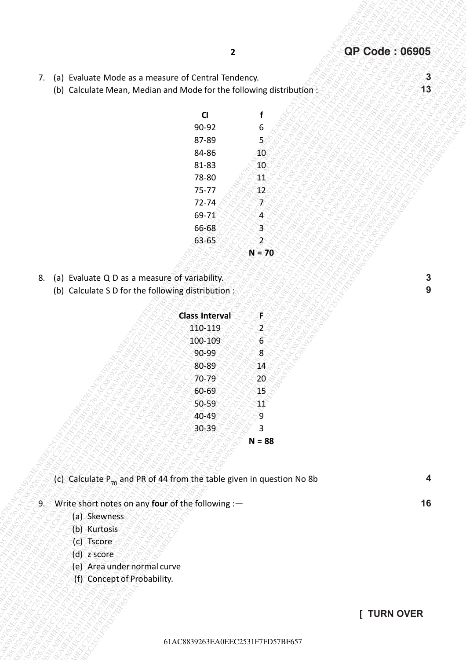- 7. (a) Evaluate Mode as a measure of Central Tendency.
	- (b) Calculate Mean, Median and Mode for the following distribution:

| CI        | f  |
|-----------|----|
| 90-92     | 6  |
| 87-89     | 5  |
| 84-86     | 10 |
| 81-83     | 10 |
| 78-80     |    |
| $75 - 77$ |    |
| 72-74     |    |
| 69-71     |    |
| 66-68     |    |
| $63 - 65$ |    |
|           |    |

- 8. (a) Evaluate Q D as a measure of variability.
	- (b) Calculate S D for the following distribution :

| $\mathbf{2}$<br>$\mathbf{3}$<br>Evaluate Mode as a measure of Central Tendency.<br>7.<br>(a)<br>(b) Calculate Mean, Median and Mode for the following distribution:<br>$\mathsf{C}$<br>90-92<br>6<br>87-89<br>$\overline{5}$<br>40 <sub>1</sub><br>84-86<br>81-83<br>10 <sub>°</sub><br>78-80<br>41<br>75-77<br>12<br>72-74<br>Ď<br>69-74<br>$\overline{\mathcal{A}}$<br>66-68<br>$\overline{3}$<br>$63 - 65$<br>$\mathbf{2}$<br>$N = 70$<br>3<br>(a) Evaluate Q D as a measure of variability.<br>8.<br>$\boldsymbol{9}$<br>(b) Calculate S D for the following distribution :<br><b>Class Interval</b><br>F.<br>$\hat{\mathbf{Z}}$<br>110-119<br>$\overline{6}$<br>100-109<br>$\boldsymbol{8}$<br>90-99<br>80-89<br>14<br>20 <sub>2</sub><br>$70 - 79$<br>15)<br>60-69<br>$41^\circ$<br>50-59<br>9<br>40-49<br>30-39<br>3<br>$N = 88$<br>(c) Calculate $P_{70}$ and PR of 44 from the table given in question No 8b<br>4<br>Write short notes on any four of the following :-<br>$9^\circ$<br>(a) Skewness<br>(b) Kurtosis<br>(c) Tscore<br>$(d)$ z score<br>(e) Area under normal curve<br>(f) Concept of Probability.<br>[ TURN OVER<br>61AC8839263EA0EEC2531F7FD57BF657 |  |                       |
|------------------------------------------------------------------------------------------------------------------------------------------------------------------------------------------------------------------------------------------------------------------------------------------------------------------------------------------------------------------------------------------------------------------------------------------------------------------------------------------------------------------------------------------------------------------------------------------------------------------------------------------------------------------------------------------------------------------------------------------------------------------------------------------------------------------------------------------------------------------------------------------------------------------------------------------------------------------------------------------------------------------------------------------------------------------------------------------------------------------------------------------------------------------------------|--|-----------------------|
|                                                                                                                                                                                                                                                                                                                                                                                                                                                                                                                                                                                                                                                                                                                                                                                                                                                                                                                                                                                                                                                                                                                                                                              |  | <b>QP Code: 06905</b> |
|                                                                                                                                                                                                                                                                                                                                                                                                                                                                                                                                                                                                                                                                                                                                                                                                                                                                                                                                                                                                                                                                                                                                                                              |  |                       |
|                                                                                                                                                                                                                                                                                                                                                                                                                                                                                                                                                                                                                                                                                                                                                                                                                                                                                                                                                                                                                                                                                                                                                                              |  | 13                    |
|                                                                                                                                                                                                                                                                                                                                                                                                                                                                                                                                                                                                                                                                                                                                                                                                                                                                                                                                                                                                                                                                                                                                                                              |  |                       |
|                                                                                                                                                                                                                                                                                                                                                                                                                                                                                                                                                                                                                                                                                                                                                                                                                                                                                                                                                                                                                                                                                                                                                                              |  |                       |
|                                                                                                                                                                                                                                                                                                                                                                                                                                                                                                                                                                                                                                                                                                                                                                                                                                                                                                                                                                                                                                                                                                                                                                              |  |                       |
|                                                                                                                                                                                                                                                                                                                                                                                                                                                                                                                                                                                                                                                                                                                                                                                                                                                                                                                                                                                                                                                                                                                                                                              |  |                       |
|                                                                                                                                                                                                                                                                                                                                                                                                                                                                                                                                                                                                                                                                                                                                                                                                                                                                                                                                                                                                                                                                                                                                                                              |  |                       |
|                                                                                                                                                                                                                                                                                                                                                                                                                                                                                                                                                                                                                                                                                                                                                                                                                                                                                                                                                                                                                                                                                                                                                                              |  |                       |
|                                                                                                                                                                                                                                                                                                                                                                                                                                                                                                                                                                                                                                                                                                                                                                                                                                                                                                                                                                                                                                                                                                                                                                              |  |                       |
|                                                                                                                                                                                                                                                                                                                                                                                                                                                                                                                                                                                                                                                                                                                                                                                                                                                                                                                                                                                                                                                                                                                                                                              |  |                       |
|                                                                                                                                                                                                                                                                                                                                                                                                                                                                                                                                                                                                                                                                                                                                                                                                                                                                                                                                                                                                                                                                                                                                                                              |  |                       |
|                                                                                                                                                                                                                                                                                                                                                                                                                                                                                                                                                                                                                                                                                                                                                                                                                                                                                                                                                                                                                                                                                                                                                                              |  |                       |
|                                                                                                                                                                                                                                                                                                                                                                                                                                                                                                                                                                                                                                                                                                                                                                                                                                                                                                                                                                                                                                                                                                                                                                              |  |                       |
|                                                                                                                                                                                                                                                                                                                                                                                                                                                                                                                                                                                                                                                                                                                                                                                                                                                                                                                                                                                                                                                                                                                                                                              |  |                       |
|                                                                                                                                                                                                                                                                                                                                                                                                                                                                                                                                                                                                                                                                                                                                                                                                                                                                                                                                                                                                                                                                                                                                                                              |  |                       |
|                                                                                                                                                                                                                                                                                                                                                                                                                                                                                                                                                                                                                                                                                                                                                                                                                                                                                                                                                                                                                                                                                                                                                                              |  |                       |
|                                                                                                                                                                                                                                                                                                                                                                                                                                                                                                                                                                                                                                                                                                                                                                                                                                                                                                                                                                                                                                                                                                                                                                              |  |                       |
|                                                                                                                                                                                                                                                                                                                                                                                                                                                                                                                                                                                                                                                                                                                                                                                                                                                                                                                                                                                                                                                                                                                                                                              |  |                       |
|                                                                                                                                                                                                                                                                                                                                                                                                                                                                                                                                                                                                                                                                                                                                                                                                                                                                                                                                                                                                                                                                                                                                                                              |  |                       |
|                                                                                                                                                                                                                                                                                                                                                                                                                                                                                                                                                                                                                                                                                                                                                                                                                                                                                                                                                                                                                                                                                                                                                                              |  |                       |
|                                                                                                                                                                                                                                                                                                                                                                                                                                                                                                                                                                                                                                                                                                                                                                                                                                                                                                                                                                                                                                                                                                                                                                              |  |                       |
|                                                                                                                                                                                                                                                                                                                                                                                                                                                                                                                                                                                                                                                                                                                                                                                                                                                                                                                                                                                                                                                                                                                                                                              |  |                       |
|                                                                                                                                                                                                                                                                                                                                                                                                                                                                                                                                                                                                                                                                                                                                                                                                                                                                                                                                                                                                                                                                                                                                                                              |  |                       |
|                                                                                                                                                                                                                                                                                                                                                                                                                                                                                                                                                                                                                                                                                                                                                                                                                                                                                                                                                                                                                                                                                                                                                                              |  |                       |
|                                                                                                                                                                                                                                                                                                                                                                                                                                                                                                                                                                                                                                                                                                                                                                                                                                                                                                                                                                                                                                                                                                                                                                              |  |                       |
|                                                                                                                                                                                                                                                                                                                                                                                                                                                                                                                                                                                                                                                                                                                                                                                                                                                                                                                                                                                                                                                                                                                                                                              |  |                       |
|                                                                                                                                                                                                                                                                                                                                                                                                                                                                                                                                                                                                                                                                                                                                                                                                                                                                                                                                                                                                                                                                                                                                                                              |  |                       |
|                                                                                                                                                                                                                                                                                                                                                                                                                                                                                                                                                                                                                                                                                                                                                                                                                                                                                                                                                                                                                                                                                                                                                                              |  |                       |
|                                                                                                                                                                                                                                                                                                                                                                                                                                                                                                                                                                                                                                                                                                                                                                                                                                                                                                                                                                                                                                                                                                                                                                              |  | 16                    |
|                                                                                                                                                                                                                                                                                                                                                                                                                                                                                                                                                                                                                                                                                                                                                                                                                                                                                                                                                                                                                                                                                                                                                                              |  |                       |
|                                                                                                                                                                                                                                                                                                                                                                                                                                                                                                                                                                                                                                                                                                                                                                                                                                                                                                                                                                                                                                                                                                                                                                              |  |                       |
|                                                                                                                                                                                                                                                                                                                                                                                                                                                                                                                                                                                                                                                                                                                                                                                                                                                                                                                                                                                                                                                                                                                                                                              |  |                       |
|                                                                                                                                                                                                                                                                                                                                                                                                                                                                                                                                                                                                                                                                                                                                                                                                                                                                                                                                                                                                                                                                                                                                                                              |  |                       |
|                                                                                                                                                                                                                                                                                                                                                                                                                                                                                                                                                                                                                                                                                                                                                                                                                                                                                                                                                                                                                                                                                                                                                                              |  |                       |
|                                                                                                                                                                                                                                                                                                                                                                                                                                                                                                                                                                                                                                                                                                                                                                                                                                                                                                                                                                                                                                                                                                                                                                              |  |                       |
|                                                                                                                                                                                                                                                                                                                                                                                                                                                                                                                                                                                                                                                                                                                                                                                                                                                                                                                                                                                                                                                                                                                                                                              |  |                       |
|                                                                                                                                                                                                                                                                                                                                                                                                                                                                                                                                                                                                                                                                                                                                                                                                                                                                                                                                                                                                                                                                                                                                                                              |  |                       |
|                                                                                                                                                                                                                                                                                                                                                                                                                                                                                                                                                                                                                                                                                                                                                                                                                                                                                                                                                                                                                                                                                                                                                                              |  |                       |

- 9. Write short notes on any **four** of the following :—
	- (a) Skewness
	- (b) Kurtosis
	- (c) Tscore
	- (d) z score
	- (e) Area under normal curve
	- (f) Concept of Probability.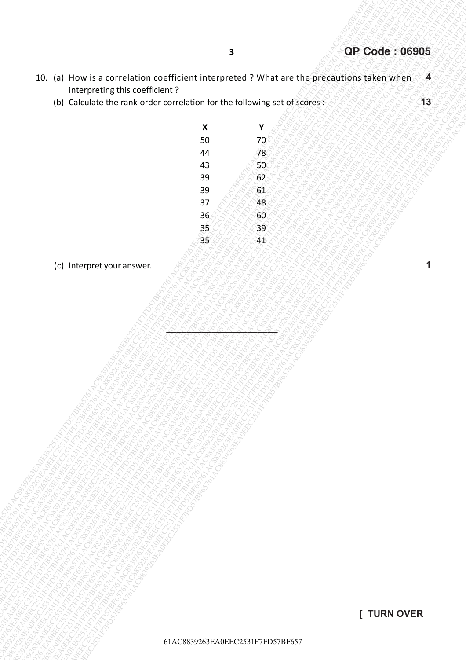- 10. (a) How is a correlation coefficient interpreted ? What are the precautions taken when interpreting this coefficient ? **4**
	- (b) Calculate the rank-order correlation for the following set of scores :

|                                                                                                            | $\overline{\mathbf{3}}$  |                                  | <b>QP Code: 06905</b> |
|------------------------------------------------------------------------------------------------------------|--------------------------|----------------------------------|-----------------------|
| 10. (a) How is a correlation coefficient interpreted ? What are the precautions taken when                 |                          |                                  | $\sqrt{4}$            |
| interpreting this coefficient?<br>(b) Calculate the rank-order correlation for the following set of scores |                          |                                  | 13                    |
|                                                                                                            |                          |                                  |                       |
|                                                                                                            | $\pmb{\mathsf{X}}$<br>50 | Υ                                |                       |
|                                                                                                            | 44                       | 70<br>78                         |                       |
|                                                                                                            | 43                       | 50<                              |                       |
|                                                                                                            | 39                       | 62                               |                       |
|                                                                                                            | 39                       | 61                               |                       |
|                                                                                                            | 37<br>36                 | 48<br>60                         |                       |
|                                                                                                            | 35 <sub>l</sub>          | 39                               |                       |
|                                                                                                            | 35                       | $\mathcal{A} \mathcal{X}$        |                       |
| (c) Interpret your answer.                                                                                 |                          |                                  | 1                     |
|                                                                                                            |                          |                                  |                       |
|                                                                                                            |                          |                                  |                       |
|                                                                                                            |                          |                                  |                       |
|                                                                                                            |                          |                                  |                       |
|                                                                                                            |                          |                                  |                       |
|                                                                                                            |                          |                                  |                       |
|                                                                                                            |                          |                                  |                       |
|                                                                                                            |                          |                                  |                       |
|                                                                                                            |                          |                                  |                       |
|                                                                                                            |                          |                                  |                       |
|                                                                                                            |                          |                                  |                       |
|                                                                                                            |                          |                                  |                       |
|                                                                                                            |                          |                                  |                       |
|                                                                                                            |                          |                                  |                       |
|                                                                                                            |                          |                                  |                       |
|                                                                                                            |                          |                                  |                       |
|                                                                                                            |                          |                                  |                       |
|                                                                                                            |                          |                                  |                       |
|                                                                                                            |                          |                                  |                       |
|                                                                                                            |                          |                                  |                       |
|                                                                                                            |                          |                                  |                       |
|                                                                                                            |                          |                                  |                       |
|                                                                                                            |                          |                                  | [ TURN OVER           |
|                                                                                                            |                          | 61AC8839263EA0EEC2531F7FD57BF657 |                       |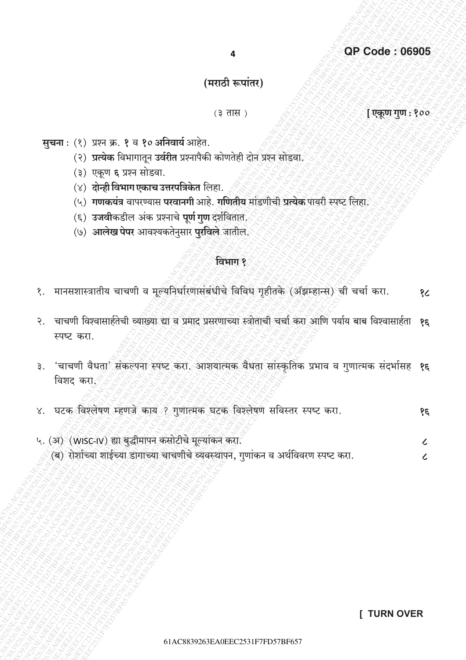# (मराठी रूपांतर)

### $(3 \overline{d})$

[एकूण गुण : १००

- सूचना: (१) प्रश्न क्र. १ व १० अनिवार्य आहेत.
	- (२) प्रत्येक विभागातून उर्वरीत प्रश्नापैकी कोणतेही दोन प्रश्न सोडवा.
	- (३) एकूण ६ प्रश्न सोडवा.
	- (४) <mark>दोन्ही विभाग एकाच उत्तरपत्रिकेत</mark> लिहा.
	- (५) गणकयंत्र वापरण्यास परवानगी आहे. गणितीय मांडणीची प्रत्येक पायरी स्पष्ट लिहा.
	- (६) उजवीकडील अंक प्रश्नाचे पूर्ण गुण दर्शवितात.
	- (७) आलेख पेपर आवश्यकतेनुसार पुरविले जातील.

### विभाग १

- १. मानसशास्त्रातीय चाचणी व मूल्यनिर्धारणासंबंधीचे विविध गृहीतके (ॲझम्हान्स) ची चर्चा करा. १८
- २. चाचणी विश्वासार्हतेची व्याख्या द्या व प्रमाद प्रसरणाच्या स्त्रोताची चर्चा करा आणि पर्याय बाब विश्वासार्हता १९ स्पष्ट करा.
- 'चाचणी वैधता' संकल्पना स्पष्ट करा. आशयात्मक वैधता सांस्कृतिक प्रभाव व गुणात्मक संदर्भासह **१६**  $\mathsf{B}$ . विशद करा*ँ*
- ४. घटक विश्लेषण म्हणजे काय ? गुणात्मक घटक विश्लेषण सविस्तर स्पष्ट करा. १६
- ५. (अ) (WISC-IV) ह्या बुद्धीमापन कसोटीचे मूल्यांकन करा.  $\mathcal{L}$ (ब) रोशच्या शाईच्या डागाच्या चाचणीचे व्यवस्थापन, गुणांकन व अर्थविवरण स्पष्ट करा.  $\overline{\mathcal{L}}$

### **I TURN OVER**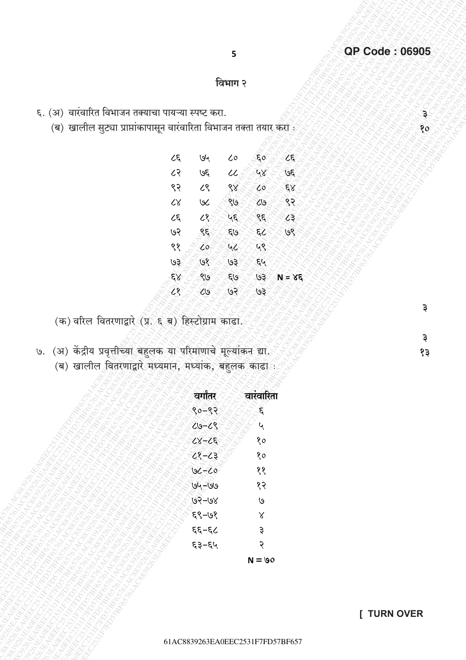80

 $\overline{\mathbf{z}}$ 

३

१३

### विभाग २

5

- ६. (अ) वारंवारित विभाजन तक्याचा पायऱ्या स्पष्ट करा.
	- (ब) खालील सुट्या प्राप्तांकापासून वारंवारिता विभाजन तक्ता तयार करा<sup>ः</sup>

| ८६       | ७५ | 0،⁄ |    |    |
|----------|----|-----|----|----|
| ८२       | ७६ |     |    | 36 |
| ९२       | ८९ |     | Ó  |    |
| $\alpha$ | ЬU | ٥)  | G  |    |
| ८६       |    | ٤.  | 3  |    |
| ७२       |    | els |    | 9º |
| ९१       | ٥  |     |    |    |
| 19       | 9  | ७३  | ε  |    |
|          |    | દા૭ | ٩  | 5  |
|          | ١ġ | હર  | ७३ |    |

(क) वरिल वितरणाद्वारे (प्र. ६ ब) हिस्टोग्राम काढा.

७. (अ) केंद्रीय प्रवृत्तीच्या बहुलक या परिमाणाचे मूल्यांकन द्या.<br>(ब) खालील वितरणाद्वारे मध्यमान, मध्यांक, बहुलक काढा

| c<br>वगातर                     | खास्ता |
|--------------------------------|--------|
| ९०<br>९२                       | ٤      |
| ૮७<br>८९                       | ५      |
| $\alpha$<br>ξ<br>l             | १०     |
| ८१<br>८३                       | १०     |
| $\overline{\mathcal{C}}$<br>७८ | ११     |
| ७५–७७                          | १२     |
| ७२<br>-७४                      | ७      |
| ६९–७१                          | Χ      |
| ६६–६८                          | ३      |
| ६३–६५                          | २      |
|                                | ۱۹۸    |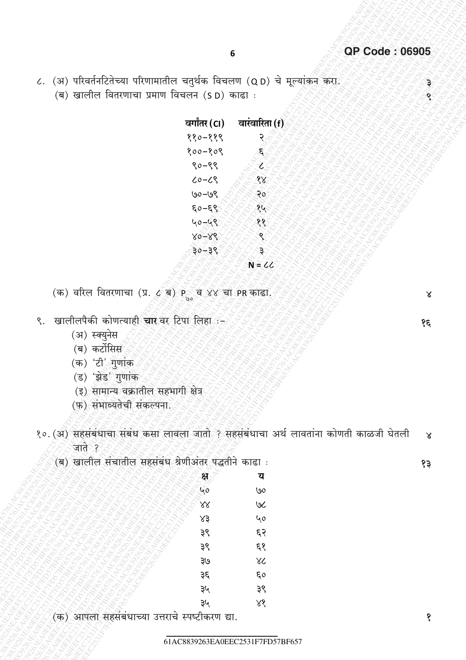ĝ.

८. (अ) परिवर्तनटितेच्या परिणामातील चतुर्थक विचलण (Q D) चे मूल्यांकन करा. (ब) खालील वितरणाचा प्रमाण विचलन (SD) काढा :

| वर्गांतर (CI) | वारंवारिता <u>(f</u> ) |
|---------------|------------------------|
| ११०-११९       |                        |
| १००–१०९       |                        |
| ९०<br>$-99$   |                        |
| ८९<br>८०      |                        |
| '৩ৎ<br>७०     |                        |
| ६०<br>ε       |                        |
| ५०            |                        |
|               |                        |
|               |                        |
|               |                        |

(क) वरिल वितरणाचा (प्र. ८ ब)  $P_{\scriptscriptstyle (0)}$  व ४४ चा PR काढा.

- ९. खालीलपैकी कोणत्याही चार वर टिपा लिहा
	- (अ) स्क्युनेस
	- (ब) कर्टोसिस
	- (क) 'टी' गुणांक
	- (ड) 'झेड' गुणांक
	- (इ) सामान्य वक्रातील सहभागी क्षेत्र
	- (फ) संभाव्यतेची संकल्पना.
- १०. (अ) सहसंबंधाचा संबंध कसा लावला जातो ? सहसंबंधाचा अर्थ लावतांना कोणती काळजी घेतली  $\times$ जाते ?

 $\frac{1}{2}$ (ब) खालील

 $83$ 

 $\mathsf{X}$ 

 $\overline{3}$ 

| सचाताल                               | ।बध $\frac{1}{\sqrt{2}}$         |                     | काढा<br>$\cdot$ : |
|--------------------------------------|----------------------------------|---------------------|-------------------|
| Ê                                    | ्यहस्<br>२००<br>ENSTS.           | ERECTED MANUFACTURE | य                 |
|                                      | IRANSIS<br>N<br>È<br>33 R.<br>È, |                     | $\overline{60}$   |
| Ş                                    | Ę<br>h<br>Ŀ,<br>ECIL<br>Ŀ,       |                     | ス お ぐ く ぎ と でんる   |
| LOS.                                 |                                  | 33/R2<br>४३<br>Ŀ,   |                   |
| <b>LOURN C.</b>                      |                                  |                     |                   |
| <b>HALL ROAD</b><br><b>Hood Book</b> |                                  | १६<br>१६<br>३९      |                   |
|                                      |                                  |                     |                   |
|                                      |                                  |                     |                   |
|                                      |                                  |                     |                   |
|                                      | <b>BRITISH AND BRANCH STATES</b> | se se se            |                   |
|                                      |                                  |                     |                   |

(क) आपला सहसंबंधाच्या उत्तराचे स्पष्टीकरण द्या.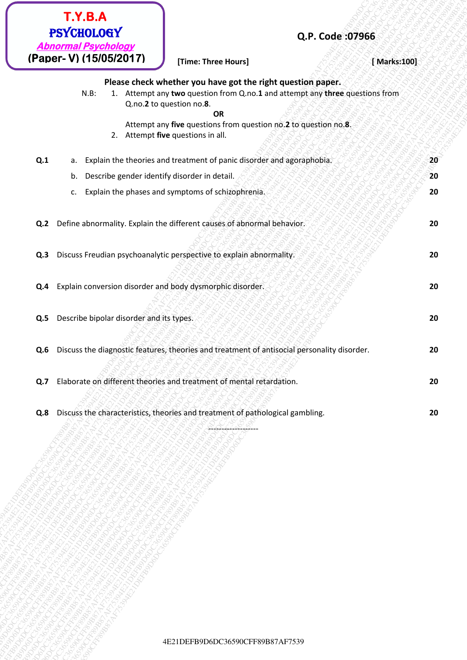|     | T.Y.B.A<br><b>PSYCHOLOGY</b>                                  |                                                                                                                                                                         | Q.P. Code: 07966 |    |
|-----|---------------------------------------------------------------|-------------------------------------------------------------------------------------------------------------------------------------------------------------------------|------------------|----|
|     | <b>Abnormal Psychology</b><br>(Paper-V) (15/05/2017)          | [Time: Three Hours]                                                                                                                                                     | [Marks:100]      |    |
|     | $N.B$ :                                                       | Please check whether you have got the right question paper.<br>1. Attempt any two question from Q.no.1 and attempt any three questions from<br>Q.no.2 to question no.8. |                  |    |
|     |                                                               | <b>OR</b><br>Attempt any five questions from question no.2 to question no.8.<br>2. Attempt five questions in all.                                                       |                  |    |
| Q.1 |                                                               | a. Explain the theories and treatment of panic disorder and agoraphobia.                                                                                                |                  | 20 |
|     | Describe gender identify disorder in detail.<br>b.            |                                                                                                                                                                         |                  | 20 |
|     | c.                                                            | Explain the phases and symptoms of schizophrenia.                                                                                                                       |                  | 20 |
| Q.2 |                                                               | Define abnormality. Explain the different causes of abnormal behavior.                                                                                                  |                  | 20 |
| Q.3 |                                                               | Discuss Freudian psychoanalytic perspective to explain abnormality.                                                                                                     |                  | 20 |
|     | Q.4 Explain conversion disorder and body dysmorphic disorder. |                                                                                                                                                                         |                  | 20 |
| Q.5 | Describe bipolar disorder and its types.                      |                                                                                                                                                                         |                  | 20 |
| Q.6 |                                                               | Discuss the diagnostic features, theories and treatment of antisocial personality disorder.                                                                             |                  | 20 |
| Q.7 |                                                               | Elaborate on different theories and treatment of mental retardation.                                                                                                    |                  | 20 |
|     |                                                               |                                                                                                                                                                         |                  |    |
| Q.8 |                                                               | Discuss the characteristics, theories and treatment of pathological gambling.                                                                                           |                  | 20 |
|     |                                                               |                                                                                                                                                                         |                  |    |
|     |                                                               |                                                                                                                                                                         |                  |    |
|     |                                                               |                                                                                                                                                                         |                  |    |
|     |                                                               |                                                                                                                                                                         |                  |    |
|     |                                                               |                                                                                                                                                                         |                  |    |
|     |                                                               |                                                                                                                                                                         |                  |    |
|     |                                                               |                                                                                                                                                                         |                  |    |
|     |                                                               |                                                                                                                                                                         |                  |    |
|     |                                                               |                                                                                                                                                                         |                  |    |
|     |                                                               |                                                                                                                                                                         |                  |    |
|     |                                                               |                                                                                                                                                                         |                  |    |
|     |                                                               | 4E21DEFB9D6DC36590CFF89B87AF7539                                                                                                                                        |                  |    |
|     |                                                               |                                                                                                                                                                         |                  |    |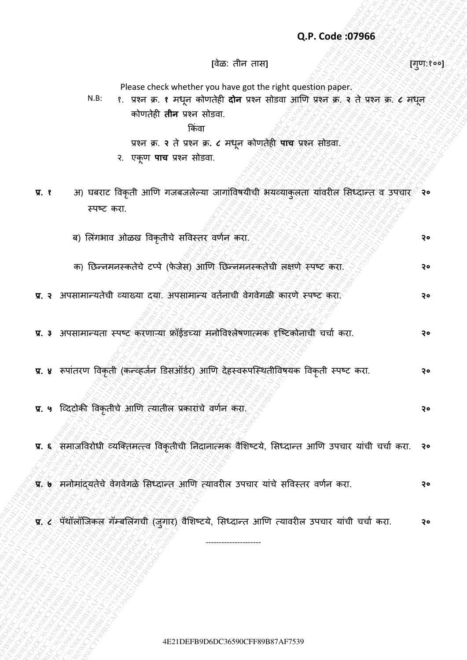### **Q.P. Code :07966**

**[**वȯळ: तीन तास**] [**गण:१०० ु **]**

Please check whether you have got the right question paper.

N.B: १. प्रश्न क्र. **१** मधून कोणतȯही **दोन** प्रश्न सोडवा आणण प्रश्न क्र. **२** तȯ प्रश्न क्र. **८** मधून कोणतȯही **तीन** प्रश्न सोडवा. ककिंवा

प्रश्न क्र. **२** तȯ प्रश्न क्र**. ८** मधून कोणतȯही **पाच** प्रश्न सोडवा.

- २. एकूण **पाच** प्रश्न सोडवा.
- **प्र. १** अ) घबराट ववकृती आणण गजबजलȯल्या जागािंववषयीची भयव्याकुलता यािंवरील ससध्दान्त व उपचार **२०** स्पष्ट करा.
- Q.P. Code 499966<br>
Please check whether during control during control during control during control during the strain of the strain of the strain of the strain of the strain of the strain of the strain of the strain of the Q.P. Code 07966<br>
Proce chack state weather earth and get the right subscriptions.<br>  $k \cdot k = \text{error. s. t. error. s. t. error. s. t. error. s. t. error. s. t. error. s. t. error. s. t. error. s. t. error. s. t. error. s. t. error. s. t. error. s. t. error. s. t. error. s. t. error. s. t. error. s. t. error. s. t. error. s. t. error. s. t. error. s. t. error. s. t. error. s$ Q.P. Code: 077966<br>
Passe check where we have got the right condition paper.<br>  $\frac{1}{2}$  are so a regressively down on the rate above  $\frac{1}{2}$  and  $\frac{1}{2}$  and  $\frac{1}{2}$  and  $\frac{1}{2}$  and  $\frac{1}{2}$  and  $\frac{1}{2}$  and  $\frac{1$ 4E21DEFB9D6DC36590CFF89B87AF75394E21DEFB9D6DC36590CFF89B87AF75394E21DEFB9D6DC36590CFF89B87AF75394E21DEFB9D6DC36590CFF89B87AF75394E21DEFB9D6DC36590CFF89B87AF75394E21DEFB9D6DC36590CFF89B87AF7539 Q.P. Code: 379866<br>  $(2\pi, 2\pi)$  and the t editor and the most applies and the most applies applies and the set of the set of the set of the set of the set of the set of the set of the set of the set of the set of the set Q.P. Code: 079566<br>
H.E. Present Cleck whether you have an altimate particle method.<br>
V.E. C. Present Cleck whether are not altimated the result of the state of the state of the state of the state of the state of the state **42.9 Code: 07966**<br>  $\frac{1}{2}$  PC = core is every absorbed the particular particular particular particular particular particular particular particular at the set of the set of the set of the set of the set of the set of th Q.P. Code: 079566<br>  $\frac{1}{2}$  Plancarized in the other and many<br>
R.R. C. Version, the figure and many distribution is a static distribution in the static distribution of the static distribution in the static distribution i Q.P. Code: 079566<br>  $\frac{1}{2}$  Plancarized in the other and many<br>
R.R. C. Version, the figure and many distribution is a static distribution in the static distribution of the static distribution in the static distribution i Q.P. Code: 079566<br>  $\frac{1}{2}$  Plancarized in the other and many<br>
R.R. C. Version, the figure and many distribution is a static distribution in the static distribution of the static distribution in the static distribution i Q.P. Code: 079566<br>  $\frac{1}{2}$  Plancarized in the other and many<br>
R.R. C. Version, the figure and many distribution is a static distribution in the static distribution of the static distribution in the static distribution i Q.P. Code: 07966<br>  $\frac{1}{2}$  Plass check where the extra method of the rest method of the state of the extra method of the state state state state state is equal to the extra method of the state state state state is equal **42.9 Code 37956**<br>  $\frac{1}{2}$  Plasse check whether you also age the start ataction pole for the start of the start at the start and weak after the start at the start at the start at the start at the start at the start at t **42.5 CFF8 AF75394E21DEFF8D6DC36590CFF89B87AF75394E21DEFB9D6DC36592**<br>
42.4 E21 THE 1 POST and the strain and the strain and the strain and the strain and the strain of the strain of the strain of the strain of the strain **42P. Code: 87966**<br>  $\frac{1}{2}$ <br>  $\frac{1}{2}$ <br>  $\frac{1}{2}$ <br>  $\frac{1}{2}$ <br>  $\frac{1}{2}$ <br>  $\frac{1}{2}$ <br>  $\frac{1}{2}$ <br>  $\frac{1}{2}$ <br>  $\frac{1}{2}$ <br>  $\frac{1}{2}$ <br>  $\frac{1}{2}$ <br>  $\frac{1}{2}$ <br>  $\frac{1}{2}$ <br>  $\frac{1}{2}$ <br>  $\frac{1}{2}$ <br>  $\frac{1}{2}$ <br>  $\frac{1}{2}$ <br>  $\frac{1}{2}$ <br>  $\frac$ Q.P. Code:30966<br>
(as:  $\frac{1}{2}$ Pierce there is not also there are the right speaking speed.<br>  $\frac{1}{2}$ Pierce the state of the state of the state of the state of the state of the state of the state of the state of the stat  $Q.P. Code 97996$ <br>  $Q.P. Code 97996$ <br>  $H = 12786$ <br>  $H = 12786$ <br>  $H = 12786$ <br>  $H = 12786$ <br>  $H = 12786$ <br>  $H = 12786$ <br>  $H = 12786$ <br>  $H = 12786$ <br>  $H = 12786$ <br>  $H = 12786$ <br>  $H = 12786$ <br>  $H = 12786$ <br>  $H = 12786$ <br>  $H = 12786$ <br>  $H = 12786$ <br>  $H = 12786$ <br> Q.P. Code:307966<br>
Please check of main you have got the right question gaps:<br>  $\hbar k = \tau \exp \pi \pi \tau \exp \pi \pi \cos \theta$  and the content also compute the right content and the right<br>  $\tau$  is equal to region of the right content and the **42P. Code 07966**<br>  $\frac{1}{2}$  P. Code 201966<br>  $\frac{1}{2}$  P. Code 201968<br>  $\frac{1}{2}$  P. Code 300 CFF8  $\frac{1}{2}$  P. Code 30 CFF8 CFF8 are also a matrix years and the spin and the spin and the spin and the spin and the spin and Q.P. Code 307966<br>
(This after and the United Property and the spin method of the right constitution paper.<br>
N.K. 1. 1977 as a strong about the spin method of the right construction and the spin method of the right constru ब) सल िंगभाव ओळख ववकृतीचȯ सववस्तर वणणन करा. **२०** क) छिन्नमनस्कतेचे टप्पे (फेजेस) आणि छिन्नमनस्कतेची लक्षणे स्पष्ट करा. <u>२</u>०० स्था. २० **प्र. २** अपसामान्यतȯची व्याख्या दया. अपसामान्य वतणनाची वȯगवȯगळी कारणȯ स्पष्ट करा. **२०**
	- **प्र. ३** अपसामान्यता स्पष्ट करणाऱ्या फ्रॉईडच्या मनोववश्लȯषणात्मक दृष्ष्टकोनाची चचाण करा. **२०**
	- **प्र. ४** रूपािंतरण ववकृती (कन्व्हजणन डडसऑडणर) आणण दȯहस्वरूपष्स्ितीववषयक ववकृती स्पष्ट करा. **२०**
	- **प्र. ५** ष्व्दटोकी ववकृतीचȯ आणण त्यातील प्रकारािंचȯ वणणन करा. **२०**

**प्र. ६** समाजववरोधी व्यष्ततमत्त्व ववकृतीची छनदानात्मक वȰसिष्टयȯ, ससध्दान्त आणण उपचार यािंची चचाण करा. **२०**

- **प्र. ७** मनोमािंद्यतȯचȯ वȯगवȯगळȯ ससध्दान्त आणण त्यावरील उपचार यािंचȯ सववस्तर वणणन करा. **२०**
- **प्र. ८** पॅथॉलॉजिकल गॅम्बलिंगची (जुगार) वैशिष्टये, सिध्दान्त आणि त्यावरील उपचार यांची चर्चा करा. २०

---------------------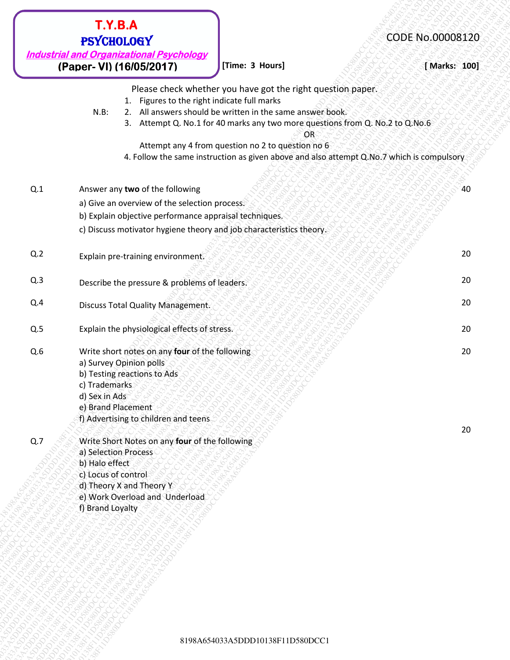| <b>Industrial and Organizational Psychology</b><br>(Paper- VI) (16/05/2017)<br>[Time: 3 Hours]<br>Please check whether you have got the right question paper.<br>1. Figures to the right indicate full marks<br>2. All answers should be written in the same answer book.<br>$N.B$ :<br>3. Attempt Q. No.1 for 40 marks any two more questions from Q. No.2 to Q. No.6<br>OR<br>Attempt any 4 from question no 2 to question no 6<br>4. Follow the same instruction as given above and also attempt Q.No.7 which is compulsory<br>Answer any two of the following<br>a) Give an overview of the selection process.<br>b) Explain objective performance appraisal techniques.<br>c) Discuss motivator hygiene theory and job characteristics theory.<br>Explain pre-training environment.<br>Describe the pressure & problems of leaders.<br>Discuss Total Quality Management.<br>Explain the physiological effects of stress.<br>Write short notes on any four of the following<br>a) Survey Opinion polls<br>b) Testing reactions to Ads<br>c) Trademarks<br>d) Sex in Ads<br>e) Brand Placement | [ Marks: 100]<br>40<br>20<br>20<br>20<br>20 |
|---------------------------------------------------------------------------------------------------------------------------------------------------------------------------------------------------------------------------------------------------------------------------------------------------------------------------------------------------------------------------------------------------------------------------------------------------------------------------------------------------------------------------------------------------------------------------------------------------------------------------------------------------------------------------------------------------------------------------------------------------------------------------------------------------------------------------------------------------------------------------------------------------------------------------------------------------------------------------------------------------------------------------------------------------------------------------------------------------|---------------------------------------------|
|                                                                                                                                                                                                                                                                                                                                                                                                                                                                                                                                                                                                                                                                                                                                                                                                                                                                                                                                                                                                                                                                                                   |                                             |
| Q.1<br>Q.2<br>Q.3<br>Q.4<br>Q.5<br>Q.6                                                                                                                                                                                                                                                                                                                                                                                                                                                                                                                                                                                                                                                                                                                                                                                                                                                                                                                                                                                                                                                            |                                             |
|                                                                                                                                                                                                                                                                                                                                                                                                                                                                                                                                                                                                                                                                                                                                                                                                                                                                                                                                                                                                                                                                                                   |                                             |
|                                                                                                                                                                                                                                                                                                                                                                                                                                                                                                                                                                                                                                                                                                                                                                                                                                                                                                                                                                                                                                                                                                   |                                             |
|                                                                                                                                                                                                                                                                                                                                                                                                                                                                                                                                                                                                                                                                                                                                                                                                                                                                                                                                                                                                                                                                                                   |                                             |
|                                                                                                                                                                                                                                                                                                                                                                                                                                                                                                                                                                                                                                                                                                                                                                                                                                                                                                                                                                                                                                                                                                   |                                             |
|                                                                                                                                                                                                                                                                                                                                                                                                                                                                                                                                                                                                                                                                                                                                                                                                                                                                                                                                                                                                                                                                                                   |                                             |
|                                                                                                                                                                                                                                                                                                                                                                                                                                                                                                                                                                                                                                                                                                                                                                                                                                                                                                                                                                                                                                                                                                   |                                             |
|                                                                                                                                                                                                                                                                                                                                                                                                                                                                                                                                                                                                                                                                                                                                                                                                                                                                                                                                                                                                                                                                                                   |                                             |
|                                                                                                                                                                                                                                                                                                                                                                                                                                                                                                                                                                                                                                                                                                                                                                                                                                                                                                                                                                                                                                                                                                   |                                             |
| f) Advertising to children and teens                                                                                                                                                                                                                                                                                                                                                                                                                                                                                                                                                                                                                                                                                                                                                                                                                                                                                                                                                                                                                                                              | 20<br>20                                    |
| Write Short Notes on any four of the following<br>Q.7<br>a) Selection Process<br>b) Halo effect<br>c) Locus of control<br>d) Theory X and Theory Y<br>e) Work Overload and Underload<br>f) Brand Loyalty                                                                                                                                                                                                                                                                                                                                                                                                                                                                                                                                                                                                                                                                                                                                                                                                                                                                                          |                                             |
|                                                                                                                                                                                                                                                                                                                                                                                                                                                                                                                                                                                                                                                                                                                                                                                                                                                                                                                                                                                                                                                                                                   |                                             |
|                                                                                                                                                                                                                                                                                                                                                                                                                                                                                                                                                                                                                                                                                                                                                                                                                                                                                                                                                                                                                                                                                                   |                                             |
| 8198A654033A5DDD10138F11D580DCC1                                                                                                                                                                                                                                                                                                                                                                                                                                                                                                                                                                                                                                                                                                                                                                                                                                                                                                                                                                                                                                                                  |                                             |

- Q.2 Explain pre-training environment.
- Q.3 Describe the pressure & problems of leaders.
- Q.4 Discuss Total Quality Management.
- **Q.5** Explain the physiological effects of stress.  $\frac{1}{2}$  is the stress of  $\frac{1}{2}$  and  $\frac{1}{2}$  and  $\frac{1}{2}$  and  $\frac{1}{2}$  and  $\frac{1}{2}$  and  $\frac{1}{2}$  and  $\frac{1}{2}$  and  $\frac{1}{2}$  and  $\frac{1}{2}$  and  $\frac{1}{2}$  and  $\frac{$
- Q.6 Write short notes on any **four** of the following a) Survey Opinion polls
	- b) Testing reactions to Ads
	- c) Trademarks
	- d) Sex in Ads
	- e) Brand Placement